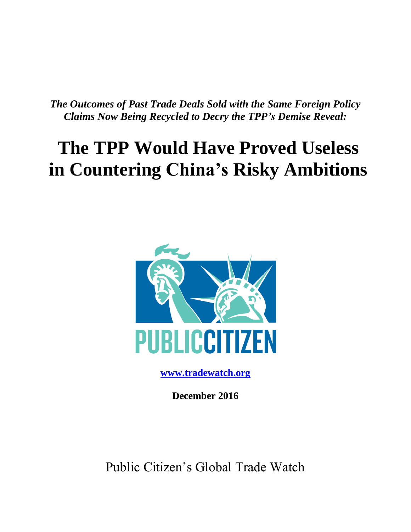*The Outcomes of Past Trade Deals Sold with the Same Foreign Policy Claims Now Being Recycled to Decry the TPP's Demise Reveal:*

# **The TPP Would Have Proved Useless in Countering China's Risky Ambitions**



**[www.tradewatch.org](http://www.tradewatch.org/)**

**December 2016**

Public Citizen's Global Trade Watch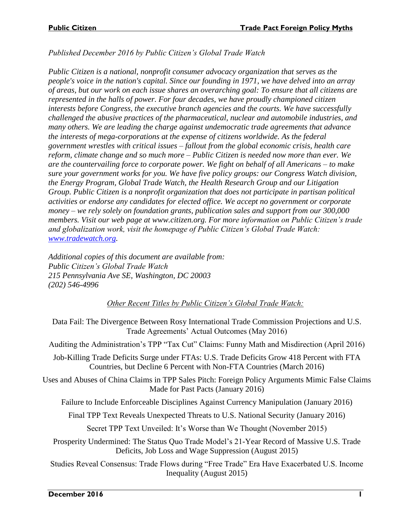*Published December 2016 by Public Citizen's Global Trade Watch*

*Public Citizen is a national, nonprofit consumer advocacy organization that serves as the people's voice in the nation's capital. Since our founding in 1971, we have delved into an array of areas, but our work on each issue shares an overarching goal: To ensure that all citizens are represented in the halls of power. For four decades, we have proudly championed citizen interests before Congress, the executive branch agencies and the courts. We have successfully challenged the abusive practices of the pharmaceutical, nuclear and automobile industries, and many others. We are leading the charge against undemocratic trade agreements that advance the interests of mega-corporations at the expense of citizens worldwide. As the federal government wrestles with critical issues – fallout from the global economic crisis, health care reform, climate change and so much more – Public Citizen is needed now more than ever. We are the countervailing force to corporate power. We fight on behalf of all Americans – to make sure your government works for you. We have five policy groups: our Congress Watch division, the Energy Program, Global Trade Watch, the Health Research Group and our Litigation Group. Public Citizen is a nonprofit organization that does not participate in partisan political activities or endorse any candidates for elected office. We accept no government or corporate money – we rely solely on foundation grants, publication sales and support from our 300,000 members. Visit our web page at www.citizen.org. For more information on Public Citizen's trade and globalization work, visit the homepage of Public Citizen's Global Trade Watch: [www.tradewatch.org.](http://www.tradewatch.org/)*

*Additional copies of this document are available from: Public Citizen's Global Trade Watch 215 Pennsylvania Ave SE, Washington, DC 20003 (202) 546-4996*

#### *Other Recent Titles by Public Citizen's Global Trade Watch:*

Data Fail: The Divergence Between Rosy International Trade Commission Projections and U.S. Trade Agreements' Actual Outcomes (May 2016)

Auditing the Administration's TPP "Tax Cut" Claims: Funny Math and Misdirection (April 2016)

Job-Killing Trade Deficits Surge under FTAs: U.S. Trade Deficits Grow 418 Percent with FTA Countries, but Decline 6 Percent with Non-FTA Countries (March 2016)

Uses and Abuses of China Claims in TPP Sales Pitch: Foreign Policy Arguments Mimic False Claims Made for Past Pacts (January 2016)

Failure to Include Enforceable Disciplines Against Currency Manipulation (January 2016)

Final TPP Text Reveals Unexpected Threats to U.S. National Security (January 2016)

Secret TPP Text Unveiled: It's Worse than We Thought (November 2015)

Prosperity Undermined: The Status Quo Trade Model's 21-Year Record of Massive U.S. Trade Deficits, Job Loss and Wage Suppression (August 2015)

Studies Reveal Consensus: Trade Flows during "Free Trade" Era Have Exacerbated U.S. Income Inequality (August 2015)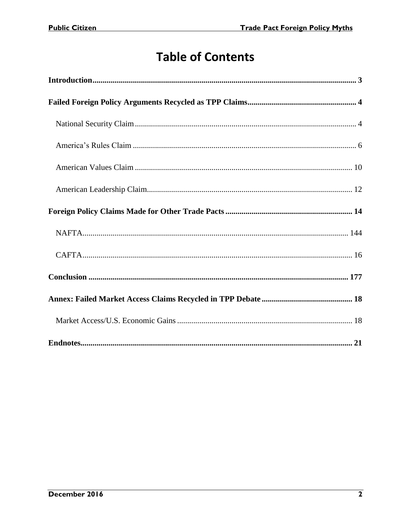## **Table of Contents**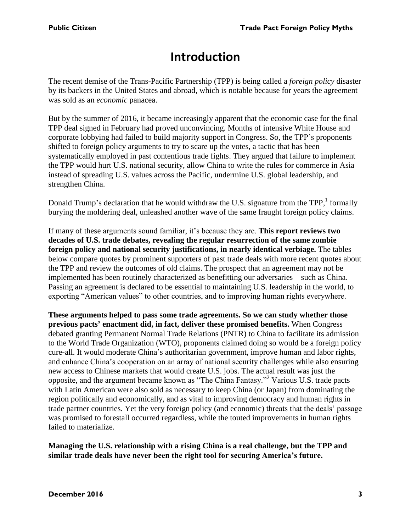## **Introduction**

<span id="page-3-0"></span>The recent demise of the Trans-Pacific Partnership (TPP) is being called a *foreign policy* disaster by its backers in the United States and abroad, which is notable because for years the agreement was sold as an *economic* panacea.

But by the summer of 2016, it became increasingly apparent that the economic case for the final TPP deal signed in February had proved unconvincing. Months of intensive White House and corporate lobbying had failed to build majority support in Congress. So, the TPP's proponents shifted to foreign policy arguments to try to scare up the votes, a tactic that has been systematically employed in past contentious trade fights. They argued that failure to implement the TPP would hurt U.S. national security, allow China to write the rules for commerce in Asia instead of spreading U.S. values across the Pacific, undermine U.S. global leadership, and strengthen China.

Donald Trump's declaration that he would withdraw the U.S. signature from the TPP,<sup>1</sup> formally burying the moldering deal, unleashed another wave of the same fraught foreign policy claims.

If many of these arguments sound familiar, it's because they are. **This report reviews two decades of U.S. trade debates, revealing the regular resurrection of the same zombie foreign policy and national security justifications, in nearly identical verbiage.** The tables below compare quotes by prominent supporters of past trade deals with more recent quotes about the TPP and review the outcomes of old claims. The prospect that an agreement may not be implemented has been routinely characterized as benefitting our adversaries – such as China. Passing an agreement is declared to be essential to maintaining U.S. leadership in the world, to exporting "American values" to other countries, and to improving human rights everywhere.

**These arguments helped to pass some trade agreements. So we can study whether those previous pacts' enactment did, in fact, deliver these promised benefits.** When Congress debated granting Permanent Normal Trade Relations (PNTR) to China to facilitate its admission to the World Trade Organization (WTO), proponents claimed doing so would be a foreign policy cure-all. It would moderate China's authoritarian government, improve human and labor rights, and enhance China's cooperation on an array of national security challenges while also ensuring new access to Chinese markets that would create U.S. jobs. The actual result was just the opposite, and the argument became known as "The China Fantasy."<sup>2</sup> Various U.S. trade pacts with Latin American were also sold as necessary to keep China (or Japan) from dominating the region politically and economically, and as vital to improving democracy and human rights in trade partner countries. Yet the very foreign policy (and economic) threats that the deals' passage was promised to forestall occurred regardless, while the touted improvements in human rights failed to materialize.

**Managing the U.S. relationship with a rising China is a real challenge, but the TPP and similar trade deals have never been the right tool for securing America's future.**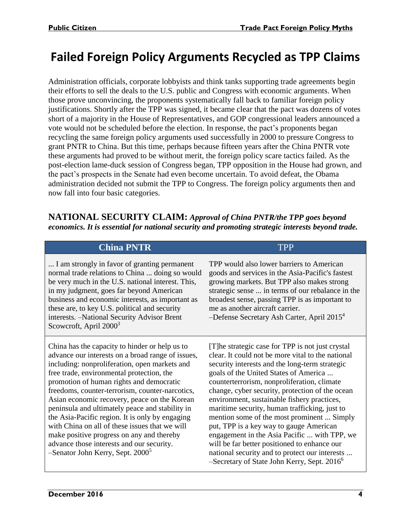## <span id="page-4-0"></span>**Failed Foreign Policy Arguments Recycled as TPP Claims**

Administration officials, corporate lobbyists and think tanks supporting trade agreements begin their efforts to sell the deals to the U.S. public and Congress with economic arguments. When those prove unconvincing, the proponents systematically fall back to familiar foreign policy justifications. Shortly after the TPP was signed, it became clear that the pact was dozens of votes short of a majority in the House of Representatives, and GOP congressional leaders announced a vote would not be scheduled before the election. In response, the pact's proponents began recycling the same foreign policy arguments used successfully in 2000 to pressure Congress to grant PNTR to China. But this time, perhaps because fifteen years after the China PNTR vote these arguments had proved to be without merit, the foreign policy scare tactics failed. As the post-election lame-duck session of Congress began, TPP opposition in the House had grown, and the pact's prospects in the Senate had even become uncertain. To avoid defeat, the Obama administration decided not submit the TPP to Congress. The foreign policy arguments then and now fall into four basic categories.

<span id="page-4-1"></span>**NATIONAL SECURITY CLAIM:** *Approval of China PNTR/the TPP goes beyond economics. It is essential for national security and promoting strategic interests beyond trade.*

#### **China PNTR** TPP

... I am strongly in favor of granting permanent normal trade relations to China ... doing so would be very much in the U.S. national interest. This, in my judgment, goes far beyond American business and economic interests, as important as these are, to key U.S. political and security interests. –National Security Advisor Brent Scowcroft, April 2000<sup>3</sup>

China has the capacity to hinder or help us to advance our interests on a broad range of issues, including: nonproliferation, open markets and free trade, environmental protection, the promotion of human rights and democratic freedoms, counter-terrorism, counter-narcotics, Asian economic recovery, peace on the Korean peninsula and ultimately peace and stability in the Asia-Pacific region. It is only by engaging with China on all of these issues that we will make positive progress on any and thereby advance those interests and our security.  $-$ Senator John Kerry, Sept. 2000<sup>5</sup>

TPP would also lower barriers to American goods and services in the Asia-Pacific's fastest growing markets. But TPP also makes strong strategic sense ... in terms of our rebalance in the broadest sense, passing TPP is as important to me as another aircraft carrier.

-Defense Secretary Ash Carter, April 2015<sup>4</sup>

[T]he strategic case for TPP is not just crystal clear. It could not be more vital to the national security interests and the long-term strategic goals of the United States of America ... counterterrorism, nonproliferation, climate change, cyber security, protection of the ocean environment, sustainable fishery practices, maritime security, human trafficking, just to mention some of the most prominent ... Simply put, TPP is a key way to gauge American engagement in the Asia Pacific ... with TPP, we will be far better positioned to enhance our national security and to protect our interests ... –Secretary of State John Kerry, Sept.  $2016^6$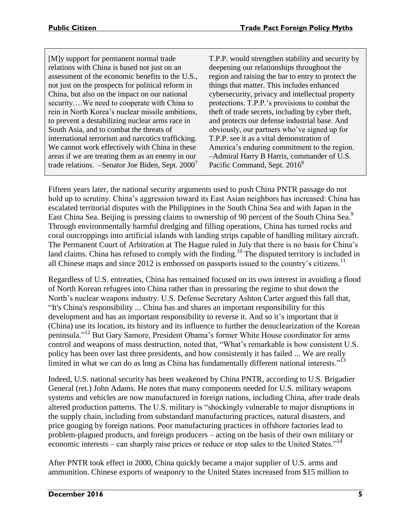| [M]y support for permanent normal trade             |
|-----------------------------------------------------|
| relations with China is based not just on an        |
| assessment of the economic benefits to the U.S.,    |
| not just on the prospects for political reform in   |
| China, but also on the impact on our national       |
| securityWe need to cooperate with China to          |
| rein in North Korea's nuclear missile ambitions,    |
| to prevent a destabilizing nuclear arms race in     |
| South Asia, and to combat the threats of            |
| international terrorism and narcotics trafficking.  |
| We cannot work effectively with China in these      |
| areas if we are treating them as an enemy in our    |
| trade relations. -Senator Joe Biden, Sept. $2000^7$ |

T.P.P. would strengthen stability and security by deepening our relationships throughout the region and raising the bar to entry to protect the things that matter. This includes enhanced cybersecurity, privacy and intellectual property protections. T.P.P.'s provisions to combat the theft of trade secrets, including by cyber theft, and protects our defense industrial base. And obviously, our partners who've signed up for T.P.P. see it as a vital demonstration of America's enduring commitment to the region. –Admiral Harry B Harris, commander of U.S. Pacific Command, Sept. 2016<sup>8</sup>

Fifteen years later, the national security arguments used to push China PNTR passage do not hold up to scrutiny. China's aggression toward its East Asian neighbors has increased: China has escalated territorial disputes with the Philippines in the South China Sea and with Japan in the East China Sea. Beijing is pressing claims to ownership of 90 percent of the South China Sea.<sup>9</sup> Through environmentally harmful dredging and filling operations, China has turned rocks and coral outcroppings into artificial islands with landing strips capable of handling military aircraft. The Permanent Court of Arbitration at The Hague ruled in July that there is no basis for China's land claims. China has refused to comply with the finding.<sup>10</sup> The disputed territory is included in all Chinese maps and since  $2012$  is embossed on passports issued to the country's citizens.<sup>11</sup>

Regardless of U.S. entreaties, China has remained focused on its own interest in avoiding a flood of North Korean refugees into China rather than in pressuring the regime to shut down the North's nuclear weapons industry. U.S. Defense Secretary Ashton Carter argued this fall that, "It's China's responsibility ... China has and shares an important responsibility for this development and has an important responsibility to reverse it. And so it's important that it (China) use its location, its history and its influence to further the denuclearization of the Korean peninsula." <sup>12</sup> But Gary Samore, President Obama's former White House coordinator for arms control and weapons of mass destruction, noted that, "What's remarkable is how consistent U.S. policy has been over last three presidents, and how consistently it has failed ... We are really limited in what we can do as long as China has fundamentally different national interests."<sup>13</sup>

Indeed, U.S. national security has been weakened by China PNTR, according to U.S. Brigadier General (ret.) John Adams. He notes that many components needed for U.S. military weapons systems and vehicles are now manufactured in foreign nations, including China, after trade deals altered production patterns. The U.S. military is "shockingly vulnerable to major disruptions in the supply chain, including from substandard manufacturing practices, natural disasters, and price gouging by foreign nations. Poor manufacturing practices in offshore factories lead to problem-plagued products, and foreign producers – acting on the basis of their own military or economic interests – can sharply raise prices or reduce or stop sales to the United States."<sup>14</sup>

After PNTR took effect in 2000, China quickly became a major supplier of U.S. arms and ammunition. Chinese exports of weaponry to the United States increased from \$15 million to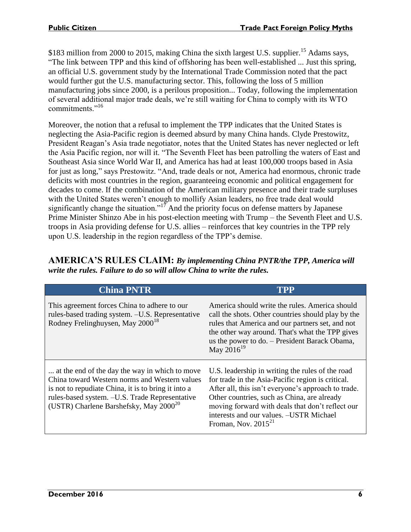\$183 million from 2000 to 2015, making China the sixth largest U.S. supplier.<sup>15</sup> Adams says, "The link between TPP and this kind of offshoring has been well-established ... Just this spring, an official U.S. government study by the International Trade Commission noted that the pact would further gut the U.S. manufacturing sector. This, following the loss of 5 million manufacturing jobs since 2000, is a perilous proposition... Today, following the implementation of several additional major trade deals, we're still waiting for China to comply with its WTO commitments<sup>"16</sup>

Moreover, the notion that a refusal to implement the TPP indicates that the United States is neglecting the Asia-Pacific region is deemed absurd by many China hands. Clyde Prestowitz, President Reagan's Asia trade negotiator, notes that the United States has never neglected or left the Asia Pacific region, nor will it. "The Seventh Fleet has been patrolling the waters of East and Southeast Asia since World War II, and America has had at least 100,000 troops based in Asia for just as long," says Prestowitz. "And, trade deals or not, America had enormous, chronic trade deficits with most countries in the region, guaranteeing economic and political engagement for decades to come. If the combination of the American military presence and their trade surpluses with the United States weren't enough to mollify Asian leaders, no free trade deal would significantly change the situation."<sup>17</sup> And the priority focus on defense matters by Japanese Prime Minister Shinzo Abe in his post-election meeting with Trump – the Seventh Fleet and U.S. troops in Asia providing defense for U.S. allies – reinforces that key countries in the TPP rely upon U.S. leadership in the region regardless of the TPP's demise.

<span id="page-6-0"></span>

| <b>AMERICA'S RULES CLAIM: By implementing China PNTR/the TPP, America will</b> |  |
|--------------------------------------------------------------------------------|--|
| write the rules. Failure to do so will allow China to write the rules.         |  |

| <b>China PNTR</b>                                                                                                                                                                                                                                       | ITPP                                                                                                                                                                                                                                                                                                                                   |
|---------------------------------------------------------------------------------------------------------------------------------------------------------------------------------------------------------------------------------------------------------|----------------------------------------------------------------------------------------------------------------------------------------------------------------------------------------------------------------------------------------------------------------------------------------------------------------------------------------|
| This agreement forces China to adhere to our<br>rules-based trading system. -U.S. Representative<br>Rodney Frelinghuysen, May 2000 <sup>18</sup>                                                                                                        | America should write the rules. America should<br>call the shots. Other countries should play by the<br>rules that America and our partners set, and not<br>the other way around. That's what the TPP gives<br>us the power to do. - President Barack Obama,<br>May $2016^{19}$                                                        |
| at the end of the day the way in which to move<br>China toward Western norms and Western values<br>is not to repudiate China, it is to bring it into a<br>rules-based system. -U.S. Trade Representative<br>(USTR) Charlene Barshefsky, May $2000^{20}$ | U.S. leadership in writing the rules of the road<br>for trade in the Asia-Pacific region is critical.<br>After all, this isn't everyone's approach to trade.<br>Other countries, such as China, are already<br>moving forward with deals that don't reflect our<br>interests and our values. -USTR Michael<br>Froman, Nov. $2015^{21}$ |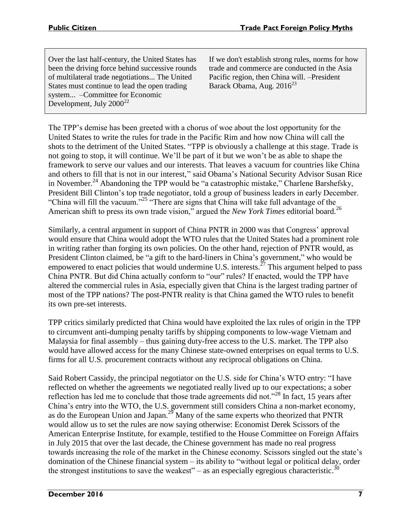Over the last half-century, the United States has been the driving force behind successive rounds of multilateral trade negotiations... The United States must continue to lead the open trading system... –Committee for Economic Development, July  $2000^{22}$ 

If we don't establish strong rules, norms for how trade and commerce are conducted in the Asia Pacific region, then China will. –President Barack Obama, Aug.  $2016^{23}$ 

The TPP's demise has been greeted with a chorus of woe about the lost opportunity for the United States to write the rules for trade in the Pacific Rim and how now China will call the shots to the detriment of the United States. "TPP is obviously a challenge at this stage. Trade is not going to stop, it will continue. We'll be part of it but we won't be as able to shape the framework to serve our values and our interests. That leaves a vacuum for countries like China and others to fill that is not in our interest," said Obama's National Security Advisor Susan Rice in November.<sup>24</sup> Abandoning the TPP would be "a catastrophic mistake," Charlene Barshefsky, President Bill Clinton's top trade negotiator, told a group of business leaders in early December. "China will fill the vacuum."<sup>25</sup> "There are signs that China will take full advantage of the American shift to press its own trade vision," argued the *New York Times* editorial board.<sup>26</sup>

Similarly, a central argument in support of China PNTR in 2000 was that Congress' approval would ensure that China would adopt the WTO rules that the United States had a prominent role in writing rather than forging its own policies. On the other hand, rejection of PNTR would, as President Clinton claimed, be "a gift to the hard-liners in China's government," who would be empowered to enact policies that would undermine U.S. interests.<sup> $27$ </sup> This argument helped to pass China PNTR. But did China actually conform to "our" rules? If enacted, would the TPP have altered the commercial rules in Asia, especially given that China is the largest trading partner of most of the TPP nations? The post-PNTR reality is that China gamed the WTO rules to benefit its own pre-set interests.

TPP critics similarly predicted that China would have exploited the lax rules of origin in the TPP to circumvent anti-dumping penalty tariffs by shipping components to low-wage Vietnam and Malaysia for final assembly – thus gaining duty-free access to the U.S. market. The TPP also would have allowed access for the many Chinese state-owned enterprises on equal terms to U.S. firms for all U.S. procurement contracts without any reciprocal obligations on China.

Said Robert Cassidy, the principal negotiator on the U.S. side for China's WTO entry: "I have reflected on whether the agreements we negotiated really lived up to our expectations; a sober reflection has led me to conclude that those trade agreements did not."<sup>28</sup> In fact, 15 years after China's entry into the WTO, the U.S. government still considers China a non-market economy, as do the European Union and Japan.<sup>29</sup> Many of the same experts who theorized that PNTR would allow us to set the rules are now saying otherwise: Economist Derek Scissors of the American Enterprise Institute, for example, testified to the House Committee on Foreign Affairs in July 2015 that over the last decade, the Chinese government has made no real progress towards increasing the role of the market in the Chinese economy. Scissors singled out the state's domination of the Chinese financial system – its ability to "without legal or political delay, order the strongest institutions to save the weakest" – as an especially egregious characteristic.<sup>30</sup>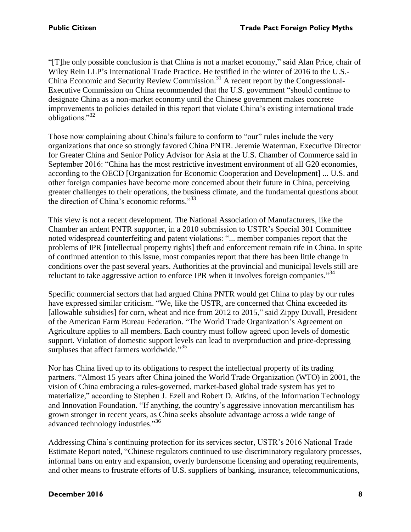"[T]he only possible conclusion is that China is not a market economy," said Alan Price, chair of Wiley Rein LLP's International Trade Practice. He testified in the winter of 2016 to the U.S.- China Economic and Security Review Commission.<sup>31</sup> A recent report by the Congressional-Executive Commission on China recommended that the U.S. government "should continue to designate China as a non-market economy until the Chinese government makes concrete improvements to policies detailed in this report that violate China's existing international trade obligations."<sup>32</sup>

Those now complaining about China's failure to conform to "our" rules include the very organizations that once so strongly favored China PNTR. Jeremie Waterman, Executive Director for Greater China and Senior Policy Advisor for Asia at the U.S. Chamber of Commerce said in September 2016: "China has the most restrictive investment environment of all G20 economies, according to the OECD [Organization for Economic Cooperation and Development] ... U.S. and other foreign companies have become more concerned about their future in China, perceiving greater challenges to their operations, the business climate, and the fundamental questions about the direction of China's economic reforms." 33

This view is not a recent development. The National Association of Manufacturers, like the Chamber an ardent PNTR supporter, in a 2010 submission to USTR's Special 301 Committee noted widespread counterfeiting and patent violations: "... member companies report that the problems of IPR [intellectual property rights] theft and enforcement remain rife in China. In spite of continued attention to this issue, most companies report that there has been little change in conditions over the past several years. Authorities at the provincial and municipal levels still are reluctant to take aggressive action to enforce IPR when it involves foreign companies."<sup>34</sup>

Specific commercial sectors that had argued China PNTR would get China to play by our rules have expressed similar criticism. "We, like the USTR, are concerned that China exceeded its [allowable subsidies] for corn, wheat and rice from 2012 to 2015," said Zippy Duvall, President of the American Farm Bureau Federation. "The World Trade Organization's Agreement on Agriculture applies to all members. Each country must follow agreed upon levels of domestic support. Violation of domestic support levels can lead to overproduction and price-depressing surpluses that affect farmers worldwide."<sup>35</sup>

Nor has China lived up to its obligations to respect the intellectual property of its trading partners. "Almost 15 years after China joined the World Trade Organization (WTO) in 2001, the vision of China embracing a rules-governed, market-based global trade system has yet to materialize," according to Stephen J. Ezell and Robert D. Atkins, of the Information Technology and Innovation Foundation. "If anything, the country's aggressive innovation mercantilism has grown stronger in recent years, as China seeks absolute advantage across a wide range of advanced technology industries."<sup>36</sup>

Addressing China's continuing protection for its services sector, USTR's 2016 National Trade Estimate Report noted, "Chinese regulators continued to use discriminatory regulatory processes, informal bans on entry and expansion, overly burdensome licensing and operating requirements, and other means to frustrate efforts of U.S. suppliers of banking, insurance, telecommunications,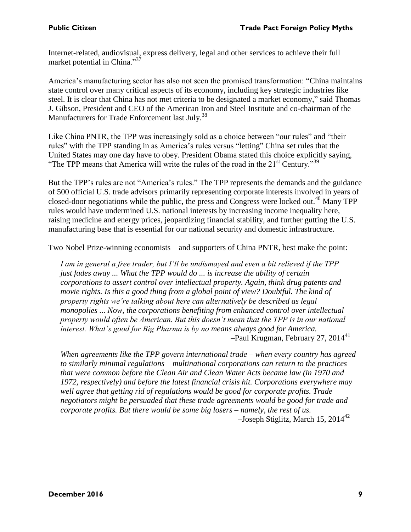Internet-related, audiovisual, express delivery, legal and other services to achieve their full market potential in China."<sup>37</sup>

America's manufacturing sector has also not seen the promised transformation: "China maintains state control over many critical aspects of its economy, including key strategic industries like steel. It is clear that China has not met criteria to be designated a market economy," said Thomas J. Gibson, President and CEO of the American Iron and Steel Institute and co-chairman of the Manufacturers for Trade Enforcement last July.<sup>38</sup>

Like China PNTR, the TPP was increasingly sold as a choice between "our rules" and "their rules" with the TPP standing in as America's rules versus "letting" China set rules that the United States may one day have to obey. President Obama stated this choice explicitly saying, "The TPP means that America will write the rules of the road in the 21<sup>st</sup> Century."<sup>39</sup>

But the TPP's rules are not "America's rules." The TPP represents the demands and the guidance of 500 official U.S. trade advisors primarily representing corporate interests involved in years of closed-door negotiations while the public, the press and Congress were locked out.<sup>40</sup> Many TPP rules would have undermined U.S. national interests by increasing income inequality here, raising medicine and energy prices, jeopardizing financial stability, and further gutting the U.S. manufacturing base that is essential for our national security and domestic infrastructure.

Two Nobel Prize-winning economists – and supporters of China PNTR, best make the point:

*I am in general a free trader, but I'll be undismayed and even a bit relieved if the TPP just fades away ... What the TPP would do ... is increase the ability of certain corporations to assert control over intellectual property. Again, think drug patents and*  movie rights. Is this a good thing from a global point of view? Doubtful. The kind of *property rights we're talking about here can alternatively be described as legal monopolies ... Now, the corporations benefiting from enhanced control over intellectual property would often be American. But this doesn't mean that the TPP is in our national interest. What's good for Big Pharma is by no means always good for America.* -Paul Krugman, February 27, 2014<sup>41</sup>

*When agreements like the TPP govern international trade – when every country has agreed to similarly minimal regulations – multinational corporations can return to the practices that were common before the Clean Air and Clean Water Acts became law (in 1970 and 1972, respectively) and before the latest financial crisis hit. Corporations everywhere may well agree that getting rid of regulations would be good for corporate profits. Trade negotiators might be persuaded that these trade agreements would be good for trade and corporate profits. But there would be some big losers – namely, the rest of us.*  $-Joseph Stiglitz$ , March 15, 2014<sup>42</sup>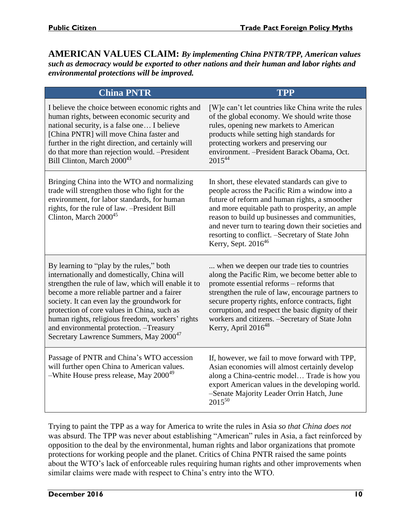<span id="page-10-0"></span>**AMERICAN VALUES CLAIM:** *By implementing China PNTR/TPP, American values such as democracy would be exported to other nations and their human and labor rights and environmental protections will be improved.*

| <b>China PNTR</b>                                                                                                                                                                                                                                                                                                                                                                                                                                  | <b>TPP</b>                                                                                                                                                                                                                                                                                                                                                                                         |
|----------------------------------------------------------------------------------------------------------------------------------------------------------------------------------------------------------------------------------------------------------------------------------------------------------------------------------------------------------------------------------------------------------------------------------------------------|----------------------------------------------------------------------------------------------------------------------------------------------------------------------------------------------------------------------------------------------------------------------------------------------------------------------------------------------------------------------------------------------------|
| I believe the choice between economic rights and<br>human rights, between economic security and<br>national security, is a false one I believe<br>[China PNTR] will move China faster and<br>further in the right direction, and certainly will<br>do that more than rejection would. -President<br>Bill Clinton, March 2000 <sup>43</sup>                                                                                                         | [W]e can't let countries like China write the rules<br>of the global economy. We should write those<br>rules, opening new markets to American<br>products while setting high standards for<br>protecting workers and preserving our<br>environment. - President Barack Obama, Oct.<br>$2015^{44}$                                                                                                  |
| Bringing China into the WTO and normalizing<br>trade will strengthen those who fight for the<br>environment, for labor standards, for human<br>rights, for the rule of law. - President Bill<br>Clinton, March $2000^{45}$                                                                                                                                                                                                                         | In short, these elevated standards can give to<br>people across the Pacific Rim a window into a<br>future of reform and human rights, a smoother<br>and more equitable path to prosperity, an ample<br>reason to build up businesses and communities,<br>and never turn to tearing down their societies and<br>resorting to conflict. - Secretary of State John<br>Kerry, Sept. 2016 <sup>46</sup> |
| By learning to "play by the rules," both<br>internationally and domestically, China will<br>strengthen the rule of law, which will enable it to<br>become a more reliable partner and a fairer<br>society. It can even lay the groundwork for<br>protection of core values in China, such as<br>human rights, religious freedom, workers' rights<br>and environmental protection. - Treasury<br>Secretary Lawrence Summers, May 2000 <sup>47</sup> | when we deepen our trade ties to countries<br>along the Pacific Rim, we become better able to<br>promote essential reforms - reforms that<br>strengthen the rule of law, encourage partners to<br>secure property rights, enforce contracts, fight<br>corruption, and respect the basic dignity of their<br>workers and citizens. - Secretary of State John<br>Kerry, April 2016 <sup>48</sup>     |
| Passage of PNTR and China's WTO accession<br>will further open China to American values.<br>-White House press release, May 2000 <sup>49</sup>                                                                                                                                                                                                                                                                                                     | If, however, we fail to move forward with TPP,<br>Asian economies will almost certainly develop<br>along a China-centric model Trade is how you<br>export American values in the developing world.<br>-Senate Majority Leader Orrin Hatch, June<br>$2015^{50}$                                                                                                                                     |

Trying to paint the TPP as a way for America to write the rules in Asia *so that China does not* was absurd. The TPP was never about establishing "American" rules in Asia, a fact reinforced by opposition to the deal by the environmental, human rights and labor organizations that promote protections for working people and the planet. Critics of China PNTR raised the same points about the WTO's lack of enforceable rules requiring human rights and other improvements when similar claims were made with respect to China's entry into the WTO.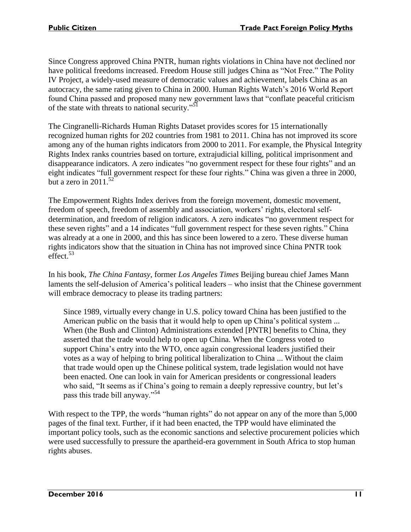Since Congress approved China PNTR, human rights violations in China have not declined nor have political freedoms increased. Freedom House still judges China as "Not Free." The Polity IV Project, a widely-used measure of democratic values and achievement, labels China as an autocracy, the same rating given to China in 2000. Human Rights Watch's 2016 World Report found China passed and proposed many new government laws that "conflate peaceful criticism of the state with threats to national security."<sup>51</sup>

The Cingranelli-Richards Human Rights Dataset provides scores for 15 internationally recognized human rights for 202 countries from 1981 to 2011. China has not improved its score among any of the human rights indicators from 2000 to 2011. For example, the Physical Integrity Rights Index ranks countries based on torture, extrajudicial killing, political imprisonment and disappearance indicators. A zero indicates "no government respect for these four rights" and an eight indicates "full government respect for these four rights." China was given a three in 2000, but a zero in  $2011^{52}$ 

The Empowerment Rights Index derives from the foreign movement, domestic movement, freedom of speech, freedom of assembly and association, workers' rights, electoral selfdetermination, and freedom of religion indicators. A zero indicates "no government respect for these seven rights" and a 14 indicates "full government respect for these seven rights." China was already at a one in 2000, and this has since been lowered to a zero. These diverse human rights indicators show that the situation in China has not improved since China PNTR took effect. 53

In his book, *The China Fantasy*, former *Los Angeles Times* Beijing bureau chief James Mann laments the self-delusion of America's political leaders – who insist that the Chinese government will embrace democracy to please its trading partners:

Since 1989, virtually every change in U.S. policy toward China has been justified to the American public on the basis that it would help to open up China's political system ... When (the Bush and Clinton) Administrations extended [PNTR] benefits to China, they asserted that the trade would help to open up China. When the Congress voted to support China's entry into the WTO, once again congressional leaders justified their votes as a way of helping to bring political liberalization to China ... Without the claim that trade would open up the Chinese political system, trade legislation would not have been enacted. One can look in vain for American presidents or congressional leaders who said, "It seems as if China's going to remain a deeply repressive country, but let's pass this trade bill anyway."<sup>54</sup>

With respect to the TPP, the words "human rights" do not appear on any of the more than 5,000 pages of the final text. Further, if it had been enacted, the TPP would have eliminated the important policy tools, such as the economic sanctions and selective procurement policies which were used successfully to pressure the apartheid-era government in South Africa to stop human rights abuses.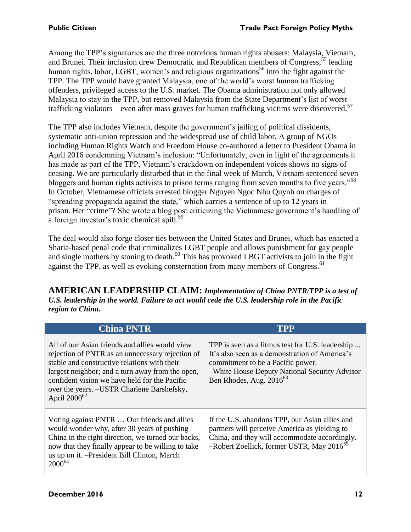Among the TPP's signatories are the three notorious human rights abusers: Malaysia, Vietnam, and Brunei. Their inclusion drew Democratic and Republican members of Congress,<sup>55</sup> leading human rights, labor, LGBT, women's and religious organizations<sup>56</sup> into the fight against the TPP. The TPP would have granted Malaysia, one of the world's worst human trafficking offenders, privileged access to the U.S. market. The Obama administration not only allowed Malaysia to stay in the TPP, but removed Malaysia from the State Department's list of worst trafficking violators – even after mass graves for human trafficking victims were discovered.<sup>57</sup>

The TPP also includes Vietnam, despite the government's jailing of political dissidents, systematic anti-union repression and the widespread use of child labor. A group of NGOs including Human Rights Watch and Freedom House co-authored a letter to President Obama in April 2016 condemning Vietnam's inclusion: "Unfortunately, even in light of the agreements it has made as part of the TPP, Vietnam's crackdown on independent voices shows no signs of ceasing. We are particularly disturbed that in the final week of March, Vietnam sentenced seven bloggers and human rights activists to prison terms ranging from seven months to five years."<sup>58</sup> In October, Vietnamese officials arrested blogger Nguyen Ngoc Nhu Quynh on charges of "spreading propaganda against the state," which carries a sentence of up to 12 years in prison. Her "crime"? She wrote a blog post criticizing the Vietnamese government's handling of a foreign investor's toxic chemical spill.<sup>59</sup>

The deal would also forge closer ties between the United States and Brunei, which has enacted a Sharia-based penal code that criminalizes LGBT people and allows punishment for gay people and single mothers by stoning to death.<sup>60</sup> This has provoked LBGT activists to join in the fight against the TPP, as well as evoking consternation from many members of Congress.<sup>61</sup>

<span id="page-12-0"></span>**AMERICAN LEADERSHIP CLAIM:** *Implementation of China PNTR/TPP is a test of U.S. leadership in the world. Failure to act would cede the U.S. leadership role in the Pacific region to China.*

| <b>China PNTR</b>                                                                                                                                                                                                                                                                                                                 | TPP                                                                                                                                                                                                                      |
|-----------------------------------------------------------------------------------------------------------------------------------------------------------------------------------------------------------------------------------------------------------------------------------------------------------------------------------|--------------------------------------------------------------------------------------------------------------------------------------------------------------------------------------------------------------------------|
| All of our Asian friends and allies would view<br>rejection of PNTR as an unnecessary rejection of<br>stable and constructive relations with their<br>largest neighbor; and a turn away from the open,<br>confident vision we have held for the Pacific<br>over the years. -USTR Charlene Barshefsky,<br>April 2000 <sup>62</sup> | TPP is seen as a litmus test for U.S. leadership<br>It's also seen as a demonstration of America's<br>commitment to be a Pacific power.<br>-White House Deputy National Security Advisor<br>Ben Rhodes, Aug. $2016^{63}$ |
| Voting against PNTR  Our friends and allies<br>would wonder why, after 30 years of pushing<br>China in the right direction, we turned our backs,<br>now that they finally appear to be willing to take<br>us up on it. - President Bill Clinton, March<br>$2000^{64}$                                                             | If the U.S. abandons TPP, our Asian allies and<br>partners will perceive America as yielding to<br>China, and they will accommodate accordingly.<br>-Robert Zoellick, former USTR, May 2016 <sup>65</sup>                |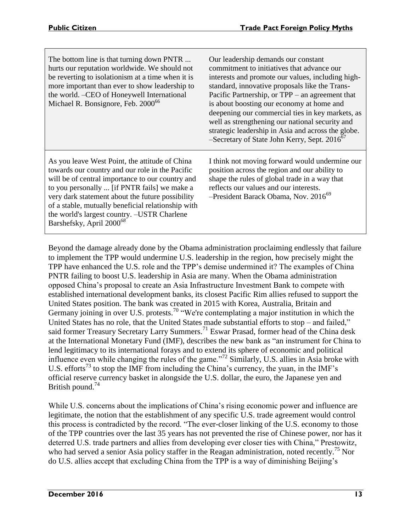| The bottom line is that turning down PNTR<br>hurts our reputation worldwide. We should not<br>be reverting to isolationism at a time when it is<br>more important than ever to show leadership to<br>the world. -CEO of Honeywell International<br>Michael R. Bonsignore, Feb. 2000 <sup>66</sup>                                                                                                      | Our leadership demands our constant<br>commitment to initiatives that advance our<br>interests and promote our values, including high-<br>standard, innovative proposals like the Trans-<br>Pacific Partnership, or TPP – an agreement that<br>is about boosting our economy at home and<br>deepening our commercial ties in key markets, as<br>well as strengthening our national security and<br>strategic leadership in Asia and across the globe.<br>-Secretary of State John Kerry, Sept. 2016 <sup>67</sup> |
|--------------------------------------------------------------------------------------------------------------------------------------------------------------------------------------------------------------------------------------------------------------------------------------------------------------------------------------------------------------------------------------------------------|-------------------------------------------------------------------------------------------------------------------------------------------------------------------------------------------------------------------------------------------------------------------------------------------------------------------------------------------------------------------------------------------------------------------------------------------------------------------------------------------------------------------|
| As you leave West Point, the attitude of China<br>towards our country and our role in the Pacific<br>will be of central importance to our country and<br>to you personally  [if PNTR fails] we make a<br>very dark statement about the future possibility<br>of a stable, mutually beneficial relationship with<br>the world's largest country. -USTR Charlene<br>Barshefsky, April 2000 <sup>68</sup> | I think not moving forward would undermine our<br>position across the region and our ability to<br>shape the rules of global trade in a way that<br>reflects our values and our interests.<br>$-$ President Barack Obama, Nov. 2016 <sup>69</sup>                                                                                                                                                                                                                                                                 |

Beyond the damage already done by the Obama administration proclaiming endlessly that failure to implement the TPP would undermine U.S. leadership in the region, how precisely might the TPP have enhanced the U.S. role and the TPP's demise undermined it? The examples of China PNTR failing to boost U.S. leadership in Asia are many. When the Obama administration opposed China's proposal to create an Asia Infrastructure Investment Bank to compete with established international development banks, its closest Pacific Rim allies refused to support the United States position. The bank was created in 2015 with Korea, Australia, Britain and Germany joining in over U.S. protests.<sup>70</sup> "We're contemplating a major institution in which the United States has no role, that the United States made substantial efforts to stop – and failed," said former Treasury Secretary Larry Summers.<sup>71</sup> Eswar Prasad, former head of the China desk at the International Monetary Fund (IMF), describes the new bank as "an instrument for China to lend legitimacy to its international forays and to extend its sphere of economic and political influence even while changing the rules of the game."<sup>72</sup> Similarly, U.S. allies in Asia broke with U.S. efforts<sup>73</sup> to stop the IMF from including the China's currency, the yuan, in the IMF's official reserve currency basket in alongside the U.S. dollar, the euro, the Japanese yen and British pound.<sup>74</sup>

While U.S. concerns about the implications of China's rising economic power and influence are legitimate, the notion that the establishment of any specific U.S. trade agreement would control this process is contradicted by the record. "The ever-closer linking of the U.S. economy to those of the TPP countries over the last 35 years has not prevented the rise of Chinese power, nor has it deterred U.S. trade partners and allies from developing ever closer ties with China," Prestowitz, who had served a senior Asia policy staffer in the Reagan administration, noted recently.<sup>75</sup> Nor do U.S. allies accept that excluding China from the TPP is a way of diminishing Beijing's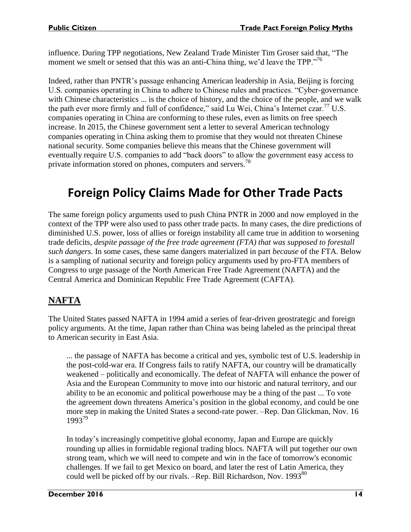influence. During TPP negotiations, New Zealand Trade Minister Tim Groser said that, "The moment we smelt or sensed that this was an anti-China thing, we'd leave the TPP."<sup>76</sup>

Indeed, rather than PNTR's passage enhancing American leadership in Asia, Beijing is forcing U.S. companies operating in China to adhere to Chinese rules and practices. "Cyber-governance with Chinese characteristics ... is the choice of history, and the choice of the people, and we walk the path ever more firmly and full of confidence," said Lu Wei, China's Internet czar.<sup>77</sup> U.S. companies operating in China are conforming to these rules, even as limits on free speech increase. In 2015, the Chinese government sent a letter to several American technology companies operating in China asking them to promise that they would not threaten Chinese national security. Some companies believe this means that the Chinese government will eventually require U.S. companies to add "back doors" to allow the government easy access to private information stored on phones, computers and servers.<sup>78</sup>

## <span id="page-14-0"></span>**Foreign Policy Claims Made for Other Trade Pacts**

The same foreign policy arguments used to push China PNTR in 2000 and now employed in the context of the TPP were also used to pass other trade pacts. In many cases, the dire predictions of diminished U.S. power, loss of allies or foreign instability all came true in addition to worsening trade deficits, *despite passage of the free trade agreement (FTA) that was supposed to forestall such dangers.* In some cases, these same dangers materialized in part *because* of the FTA. Below is a sampling of national security and foreign policy arguments used by pro-FTA members of Congress to urge passage of the North American Free Trade Agreement (NAFTA) and the Central America and Dominican Republic Free Trade Agreement (CAFTA).

#### <span id="page-14-1"></span>**NAFTA**

The United States passed NAFTA in 1994 amid a series of fear-driven geostrategic and foreign policy arguments. At the time, Japan rather than China was being labeled as the principal threat to American security in East Asia.

... the passage of NAFTA has become a critical and yes, symbolic test of U.S. leadership in the post-cold-war era. If Congress fails to ratify NAFTA, our country will be dramatically weakened – politically and economically. The defeat of NAFTA will enhance the power of Asia and the European Community to move into our historic and natural territory, and our ability to be an economic and political powerhouse may be a thing of the past ... To vote the agreement down threatens America's position in the global economy, and could be one more step in making the United States a second-rate power. –Rep. Dan Glickman, Nov. 16 1993<sup>79</sup>

In today's increasingly competitive global economy, Japan and Europe are quickly rounding up allies in formidable regional trading blocs. NAFTA will put together our own strong team, which we will need to compete and win in the face of tomorrow's economic challenges. If we fail to get Mexico on board, and later the rest of Latin America, they could well be picked off by our rivals. –Rep. Bill Richardson, Nov. 1993<sup>80</sup>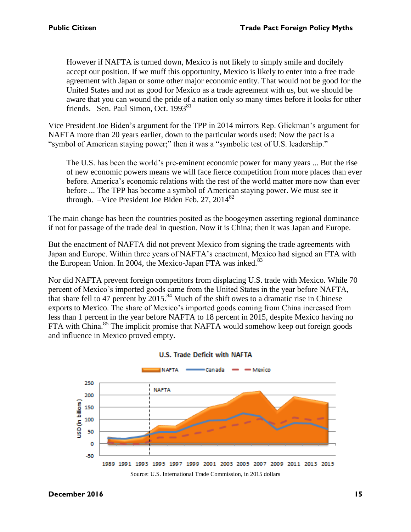However if NAFTA is turned down, Mexico is not likely to simply smile and docilely accept our position. If we muff this opportunity, Mexico is likely to enter into a free trade agreement with Japan or some other major economic entity. That would not be good for the United States and not as good for Mexico as a trade agreement with us, but we should be aware that you can wound the pride of a nation only so many times before it looks for other friends. –Sen. Paul Simon, Oct. 1993<sup>81</sup>

Vice President Joe Biden's argument for the TPP in 2014 mirrors Rep. Glickman's argument for NAFTA more than 20 years earlier, down to the particular words used: Now the pact is a "symbol of American staying power;" then it was a "symbolic test of U.S. leadership."

The U.S. has been the world's pre-eminent economic power for many years ... But the rise of new economic powers means we will face fierce competition from more places than ever before. America's economic relations with the rest of the world matter more now than ever before ... The TPP has become a symbol of American staying power. We must see it through. –Vice President Joe Biden Feb. 27,  $2014^{82}$ 

The main change has been the countries posited as the boogeymen asserting regional dominance if not for passage of the trade deal in question. Now it is China; then it was Japan and Europe.

But the enactment of NAFTA did not prevent Mexico from signing the trade agreements with Japan and Europe. Within three years of NAFTA's enactment, Mexico had signed an FTA with the European Union. In 2004, the Mexico-Japan FTA was inked.<sup>83</sup>

Nor did NAFTA prevent foreign competitors from displacing U.S. trade with Mexico. While 70 percent of Mexico's imported goods came from the United States in the year before NAFTA, that share fell to 47 percent by 2015.<sup>84</sup> Much of the shift owes to a dramatic rise in Chinese exports to Mexico. The share of Mexico's imported goods coming from China increased from less than 1 percent in the year before NAFTA to 18 percent in 2015, despite Mexico having no FTA with China.<sup>85</sup> The implicit promise that NAFTA would somehow keep out foreign goods and influence in Mexico proved empty.



#### **U.S. Trade Deficit with NAFTA**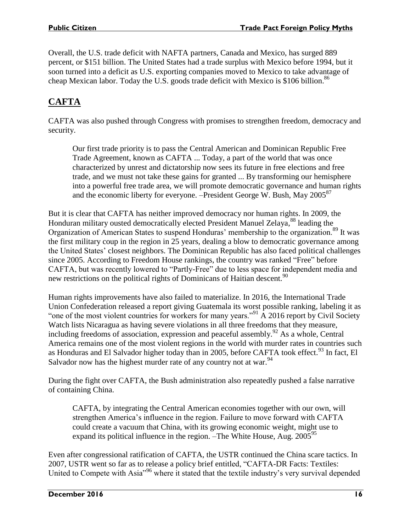Overall, the U.S. trade deficit with NAFTA partners, Canada and Mexico, has surged 889 percent, or \$151 billion. The United States had a trade surplus with Mexico before 1994, but it soon turned into a deficit as U.S. exporting companies moved to Mexico to take advantage of cheap Mexican labor. Today the U.S. goods trade deficit with Mexico is \$106 billion.<sup>86</sup>

#### <span id="page-16-0"></span>**CAFTA**

CAFTA was also pushed through Congress with promises to strengthen freedom, democracy and security.

Our first trade priority is to pass the Central American and Dominican Republic Free Trade Agreement, known as CAFTA ... Today, a part of the world that was once characterized by unrest and dictatorship now sees its future in free elections and free trade, and we must not take these gains for granted ... By transforming our hemisphere into a powerful free trade area, we will promote democratic governance and human rights and the economic liberty for everyone.  $-$ President George W. Bush, May 2005<sup>87</sup>

But it is clear that CAFTA has neither improved democracy nor human rights. In 2009, the Honduran military ousted democratically elected President Manuel Zelaya, <sup>88</sup> leading the Organization of American States to suspend Honduras' membership to the organization.<sup>89</sup> It was the first military coup in the region in 25 years, dealing a blow to democratic governance among the United States' closest neighbors. The Dominican Republic has also faced political challenges since 2005. According to Freedom House rankings, the country was ranked "Free" before CAFTA, but was recently lowered to "Partly-Free" due to less space for independent media and new restrictions on the political rights of Dominicans of Haitian descent.<sup>90</sup>

Human rights improvements have also failed to materialize. In 2016, the International Trade Union Confederation released a report giving Guatemala its worst possible ranking, labeling it as "one of the most violent countries for workers for many years."<sup>91</sup> A 2016 report by Civil Society Watch lists Nicaragua as having severe violations in all three freedoms that they measure, including freedoms of association, expression and peaceful assembly.<sup>92</sup> As a whole, Central America remains one of the most violent regions in the world with murder rates in countries such as Honduras and El Salvador higher today than in 2005, before CAFTA took effect.<sup>93</sup> In fact, El Salvador now has the highest murder rate of any country not at war.<sup>94</sup>

During the fight over CAFTA, the Bush administration also repeatedly pushed a false narrative of containing China.

CAFTA, by integrating the Central American economies together with our own, will strengthen America's influence in the region. Failure to move forward with CAFTA could create a vacuum that China, with its growing economic weight, might use to expand its political influence in the region.  $-$ The White House, Aug.  $2005^{95}$ 

Even after congressional ratification of CAFTA, the USTR continued the China scare tactics. In 2007, USTR went so far as to release a policy brief entitled, "CAFTA-DR Facts: Textiles: United to Compete with Asia<sup>"96</sup> where it stated that the textile industry's very survival depended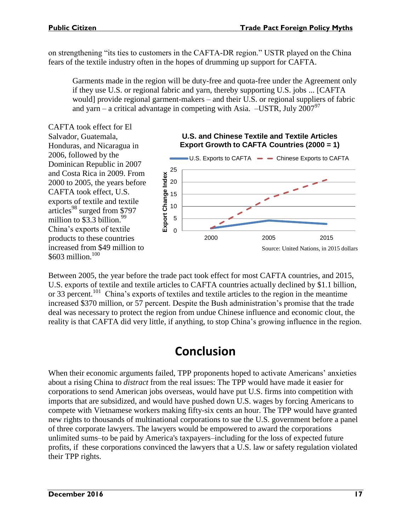on strengthening "its ties to customers in the CAFTA-DR region." USTR played on the China fears of the textile industry often in the hopes of drumming up support for CAFTA.

Garments made in the region will be duty-free and quota-free under the Agreement only if they use U.S. or regional fabric and yarn, thereby supporting U.S. jobs ... [CAFTA would] provide regional garment-makers – and their U.S. or regional suppliers of fabric and yarn – a critical advantage in competing with Asia. –USTR, July  $2007^{97}$ 

CAFTA took effect for El Salvador, Guatemala, Honduras, and Nicaragua in 2006, followed by the Dominican Republic in 2007 and Costa Rica in 2009. From 2000 to 2005, the years before CAFTA took effect, U.S. exports of textile and textile articles<sup>98</sup> surged from \$797 million to  $$3.3$  billion.<sup>99</sup> China's exports of textile products to these countries increased from \$49 million to  $$603$  million.<sup>100</sup>





Between 2005, the year before the trade pact took effect for most CAFTA countries, and 2015, U.S. exports of textile and textile articles to CAFTA countries actually declined by \$1.1 billion, or 33 percent.<sup>101</sup> China's exports of textiles and textile articles to the region in the meantime increased \$370 million, or 57 percent. Despite the Bush administration's promise that the trade deal was necessary to protect the region from undue Chinese influence and economic clout, the reality is that CAFTA did very little, if anything, to stop China's growing influence in the region.

## **Conclusion**

<span id="page-17-0"></span>When their economic arguments failed, TPP proponents hoped to activate Americans' anxieties about a rising China to *distract* from the real issues: The TPP would have made it easier for corporations to send American jobs overseas, would have put U.S. firms into competition with imports that are subsidized, and would have pushed down U.S. wages by forcing Americans to compete with Vietnamese workers making fifty-six cents an hour. The TPP would have granted new rights to thousands of multinational corporations to sue the U.S. government before a panel of three corporate lawyers. The lawyers would be empowered to award the corporations unlimited sums–to be paid by America's taxpayers–including for the loss of expected future profits, if these corporations convinced the lawyers that a U.S. law or safety regulation violated their TPP rights.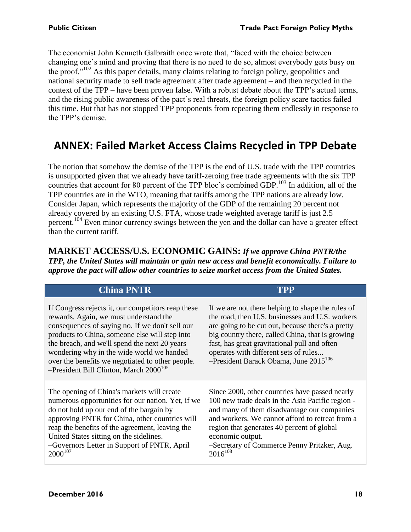The economist John Kenneth Galbraith once wrote that, "faced with the choice between changing one's mind and proving that there is no need to do so, almost everybody gets busy on the proof."<sup>102</sup> As this paper details, many claims relating to foreign policy, geopolitics and national security made to sell trade agreement after trade agreement – and then recycled in the context of the TPP – have been proven false. With a robust debate about the TPP's actual terms, and the rising public awareness of the pact's real threats, the foreign policy scare tactics failed this time. But that has not stopped TPP proponents from repeating them endlessly in response to the TPP's demise.

#### <span id="page-18-0"></span>**ANNEX: Failed Market Access Claims Recycled in TPP Debate**

The notion that somehow the demise of the TPP is the end of U.S. trade with the TPP countries is unsupported given that we already have tariff-zeroing free trade agreements with the six TPP countries that account for 80 percent of the TPP bloc's combined GDP.<sup>103</sup> In addition, all of the TPP countries are in the WTO, meaning that tariffs among the TPP nations are already low. Consider Japan, which represents the majority of the GDP of the remaining 20 percent not already covered by an existing U.S. FTA, whose trade weighted average tariff is just 2.5 percent.<sup>104</sup> Even minor currency swings between the yen and the dollar can have a greater effect than the current tariff.

<span id="page-18-1"></span>**MARKET ACCESS/U.S. ECONOMIC GAINS:** *If we approve China PNTR/the TPP, the United States will maintain or gain new access and benefit economically. Failure to approve the pact will allow other countries to seize market access from the United States.*

| <b>China PNTR</b>                                                                                                                                                                                                                                                                                                                                                                                         | TPP                                                                                                                                                                                                                                                                                                                                                            |
|-----------------------------------------------------------------------------------------------------------------------------------------------------------------------------------------------------------------------------------------------------------------------------------------------------------------------------------------------------------------------------------------------------------|----------------------------------------------------------------------------------------------------------------------------------------------------------------------------------------------------------------------------------------------------------------------------------------------------------------------------------------------------------------|
| If Congress rejects it, our competitors reap these<br>rewards. Again, we must understand the<br>consequences of saying no. If we don't sell our<br>products to China, someone else will step into<br>the breach, and we'll spend the next 20 years<br>wondering why in the wide world we handed<br>over the benefits we negotiated to other people.<br>-President Bill Clinton, March 2000 <sup>105</sup> | If we are not there helping to shape the rules of<br>the road, then U.S. businesses and U.S. workers<br>are going to be cut out, because there's a pretty<br>big country there, called China, that is growing<br>fast, has great gravitational pull and often<br>operates with different sets of rules<br>$-$ President Barack Obama, June 2015 <sup>106</sup> |
| The opening of China's markets will create<br>numerous opportunities for our nation. Yet, if we<br>do not hold up our end of the bargain by<br>approving PNTR for China, other countries will<br>reap the benefits of the agreement, leaving the<br>United States sitting on the sidelines.<br>-Governors Letter in Support of PNTR, April<br>$2000^{107}$                                                | Since 2000, other countries have passed nearly<br>100 new trade deals in the Asia Pacific region -<br>and many of them disadvantage our companies<br>and workers. We cannot afford to retreat from a<br>region that generates 40 percent of global<br>economic output.<br>-Secretary of Commerce Penny Pritzker, Aug.<br>$2016^{108}$                          |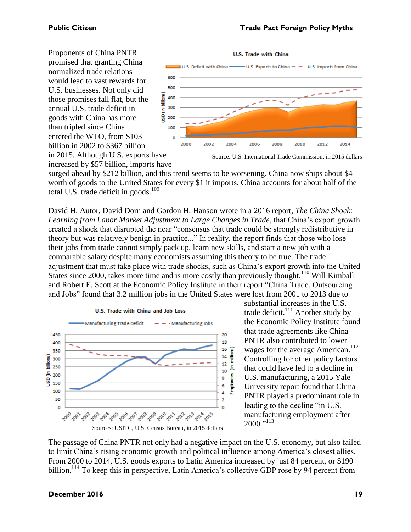Proponents of China PNTR promised that granting China normalized trade relations would lead to vast rewards for U.S. businesses. Not only did those promises fall flat, but the annual U.S. trade deficit in goods with China has more than tripled since China entered the WTO, from \$103 billion in 2002 to \$367 billion in 2015. Although U.S. exports have



increased by \$57 billion, imports have

surged ahead by \$212 billion, and this trend seems to be worsening. China now ships about \$4 worth of goods to the United States for every \$1 it imports. China accounts for about half of the total U.S. trade deficit in goods. $109$ 

David H. Autor, David Dorn and Gordon H. Hanson wrote in a 2016 report, *The China Shock: Learning from Labor Market Adjustment to Large Changes in Trade*, that China's export growth created a shock that disrupted the near "consensus that trade could be strongly redistributive in theory but was relatively benign in practice..." In reality, the report finds that those who lose their jobs from trade cannot simply pack up, learn new skills, and start a new job with a comparable salary despite many economists assuming this theory to be true. The trade adjustment that must take place with trade shocks, such as China's export growth into the United States since 2000, takes more time and is more costly than previously thought.<sup>110</sup> Will Kimball and Robert E. Scott at the Economic Policy Institute in their report "China Trade, Outsourcing and Jobs" found that 3.2 million jobs in the United States were lost from 2001 to 2013 due to



substantial increases in the U.S. trade deficit. $111$  Another study by the Economic Policy Institute found that trade agreements like China PNTR also contributed to lower wages for the average American.<sup>112</sup> Controlling for other policy factors that could have led to a decline in U.S. manufacturing, a 2015 Yale University report found that China PNTR played a predominant role in leading to the decline "in U.S. manufacturing employment after 2000."<sup>113</sup>

The passage of China PNTR not only had a negative impact on the U.S. economy, but also failed to limit China's rising economic growth and political influence among America's closest allies. From 2000 to 2014, U.S. goods exports to Latin America increased by just 84 percent, or \$190 billion.<sup>114</sup> To keep this in perspective, Latin America's collective GDP rose by 94 percent from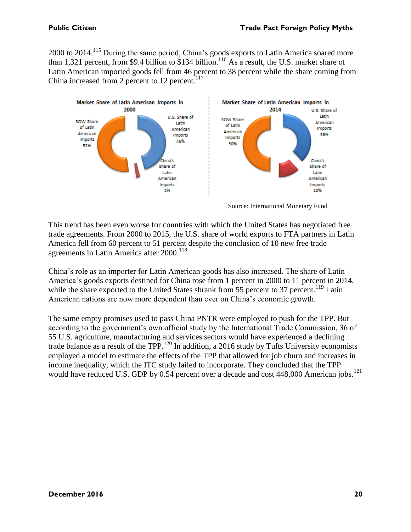2000 to 2014.<sup>115</sup> During the same period, China's goods exports to Latin America soared more than 1,321 percent, from \$9.4 billion to \$134 billion.<sup>116</sup> As a result, the U.S. market share of Latin American imported goods fell from 46 percent to 38 percent while the share coming from China increased from 2 percent to 12 percent. $117$ 



Source: International Monetary Fund

This trend has been even worse for countries with which the United States has negotiated free trade agreements. From 2000 to 2015, the U.S. share of world exports to FTA partners in Latin America fell from 60 percent to 51 percent despite the conclusion of 10 new free trade agreements in Latin America after 2000.<sup>118</sup>

China's role as an importer for Latin American goods has also increased. The share of Latin America's goods exports destined for China rose from 1 percent in 2000 to 11 percent in 2014, while the share exported to the United States shrank from 55 percent to 37 percent.<sup>119</sup> Latin American nations are now more dependent than ever on China's economic growth.

The same empty promises used to pass China PNTR were employed to push for the TPP. But according to the government's own official study by the International Trade Commission, 36 of 55 U.S. agriculture, manufacturing and services sectors would have experienced a declining trade balance as a result of the TPP.<sup>120</sup> In addition, a 2016 study by Tufts University economists employed a model to estimate the effects of the TPP that allowed for job churn and increases in income inequality, which the ITC study failed to incorporate. They concluded that the TPP would have reduced U.S. GDP by 0.54 percent over a decade and cost  $448,000$  American jobs.<sup>121</sup>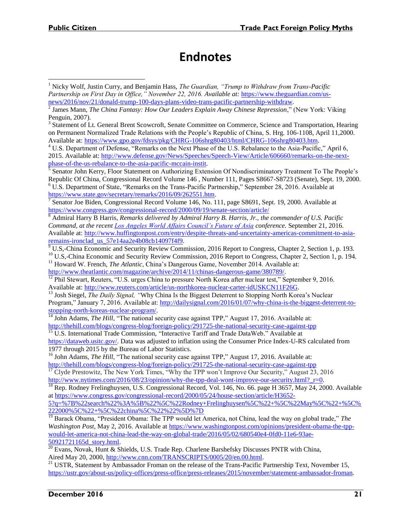### **Endnotes**

<sup>8</sup> Admiral Harry B Harris, *Remarks delivered by Admiral Harry B. Harris, Jr., the commander of U.S. Pacific Command, at the recent [Los Angeles World Affairs Council's Future of Asia](http://www.futureofasia.org/) conference.* September 21, 2016. Available at: [http://www.huffingtonpost.com/entry/despite-threats-and-uncertainty-americas-commitment-to-asia](http://www.huffingtonpost.com/entry/despite-threats-and-uncertainty-americas-commitment-to-asia-remains-ironclad_us_57e14aa2e4b08cb14097f4f9)[remains-ironclad\\_us\\_57e14aa2e4b08cb14097f4f9.](http://www.huffingtonpost.com/entry/despite-threats-and-uncertainty-americas-commitment-to-asia-remains-ironclad_us_57e14aa2e4b08cb14097f4f9)

<sup>9</sup> U.S,-China Economic and Security Review Commission, 2016 Report to Congress, Chapter 2, Section 1, p. 193.

<sup>10</sup> U.S,-China Economic and Security Review Commission, 2016 Report to Congress, Chapter 2, Section 1, p. 194. <sup>11</sup> Howard W. French, *The Atlantic*, China's Dangerous Game, November 2014. Available at:

[http://www.theatlantic.com/magazine/archive/2014/11/chinas-dangerous-game/380789/.](http://www.theatlantic.com/magazine/archive/2014/11/chinas-dangerous-game/380789/)

<sup>12</sup> Phil Stewart, Reuters, "U.S. urges China to pressure North Korea after nuclear test," September 9, 2016. Available at: [http://www.reuters.com/article/us-northkorea-nuclear-carter-idUSKCN11F26G.](http://www.reuters.com/article/us-northkorea-nuclear-carter-idUSKCN11F26G)

<sup>13</sup> Josh Siegel, *The Daily Signal,* "Why China Is the Biggest Deterrent to Stopping North Korea's Nuclear Program," January 7, 2016. Available at: [http://dailysignal.com/2016/01/07/why-china-is-the-biggest-deterrent-to](http://dailysignal.com/2016/01/07/why-china-is-the-biggest-deterrent-to-stopping-north-koreas-nuclear-program/)[stopping-north-koreas-nuclear-program/.](http://dailysignal.com/2016/01/07/why-china-is-the-biggest-deterrent-to-stopping-north-koreas-nuclear-program/)

<sup>14</sup> John Adams, *The Hill*, "The national security case against TPP," August 17, 2016. Available at: <http://thehill.com/blogs/congress-blog/foreign-policy/291725-the-national-security-case-against-tpp>

<sup>15</sup> U.S. International Trade Commission, "Interactive Tariff and Trade DataWeb." Available at [https://dataweb.usitc.gov/.](https://dataweb.usitc.gov/) Data was adjusted to inflation using the Consumer Price Index-U-RS calculated from 1977 through 2015 by the Bureau of Labor Statistics.

<sup>16</sup> John Adams, *The Hill*, "The national security case against TPP," August 17, 2016. Available at: <http://thehill.com/blogs/congress-blog/foreign-policy/291725-the-national-security-case-against-tpp>

 $\frac{17}{17}$  Clyde Prestowitz, The New York Times, "Why the TPP won't Improve Our Security," August 23, 2016 http://www.nytimes.com/2016/08/23/opinion/why-the-tpp-deal-wont-improve-our-security.html? r=0.

<sup>18</sup> Rep. Rodney Frelinghuysen, U.S. Congressional Record, Vol. 146, No. 66. page H 3657, May 24, 2000. Available a[t https://www.congress.gov/congressional-record/2000/05/24/house-section/article/H3652-](https://www.congress.gov/congressional-record/2000/05/24/house-section/article/H3652-5?q=%7B%22search%22%3A%5B%22%5C%22Rodney+Frelinghuysen%5C%22+%5C%22May%5C%22+%5C%222000%5C%22+%5C%22china%5C%22%22%5D%7D)

[5?q=%7B%22search%22%3A%5B%22%5C%22Rodney+Frelinghuysen%5C%22+%5C%22May%5C%22+%5C%](https://www.congress.gov/congressional-record/2000/05/24/house-section/article/H3652-5?q=%7B%22search%22%3A%5B%22%5C%22Rodney+Frelinghuysen%5C%22+%5C%22May%5C%22+%5C%222000%5C%22+%5C%22china%5C%22%22%5D%7D) [222000%5C%22+%5C%22china%5C%22%22%5D%7D](https://www.congress.gov/congressional-record/2000/05/24/house-section/article/H3652-5?q=%7B%22search%22%3A%5B%22%5C%22Rodney+Frelinghuysen%5C%22+%5C%22May%5C%22+%5C%222000%5C%22+%5C%22china%5C%22%22%5D%7D)

<sup>19</sup> Barack Obama, "President Obama: The TPP would let America, not China, lead the way on global trade," *The Washington Post*, May 2, 2016. Available at [https://www.washingtonpost.com/opinions/president-obama-the-tpp](https://www.washingtonpost.com/opinions/president-obama-the-tpp-would-let-america-not-china-lead-the-way-on-global-trade/2016/05/02/680540e4-0fd0-11e6-93ae-50921721165d_story.html)[would-let-america-not-china-lead-the-way-on-global-trade/2016/05/02/680540e4-0fd0-11e6-93ae-](https://www.washingtonpost.com/opinions/president-obama-the-tpp-would-let-america-not-china-lead-the-way-on-global-trade/2016/05/02/680540e4-0fd0-11e6-93ae-50921721165d_story.html)[50921721165d\\_story.html.](https://www.washingtonpost.com/opinions/president-obama-the-tpp-would-let-america-not-china-lead-the-way-on-global-trade/2016/05/02/680540e4-0fd0-11e6-93ae-50921721165d_story.html)

<span id="page-21-0"></span><sup>1</sup> Nicky Wolf, Justin Curry, and Benjamin Hass, *The Guardian, "Trump to Withdraw from Trans-Pacific Partnership on First Day in Office," November 22, 2016. Available at:* [https://www.theguardian.com/us](https://www.theguardian.com/us-news/2016/nov/21/donald-trump-100-days-plans-video-trans-pacific-partnership-withdraw)[news/2016/nov/21/donald-trump-100-days-plans-video-trans-pacific-partnership-withdraw.](https://www.theguardian.com/us-news/2016/nov/21/donald-trump-100-days-plans-video-trans-pacific-partnership-withdraw)

<sup>2</sup> James Mann, *The China Fantasy: How Our Leaders Explain Away Chinese Repression*," (New York: Viking Penguin, 2007).

<sup>&</sup>lt;sup>3</sup> Statement of Lt. General Brent Scowcroft, Senate Committee on Commerce, Science and Transportation, Hearing on Permanent Normalized Trade Relations with the People's Republic of China, S. Hrg. 106-1108, April 11,2000. Available at: [https://www.gpo.gov/fdsys/pkg/CHRG-106shrg80403/html/CHRG-106shrg80403.htm.](https://www.gpo.gov/fdsys/pkg/CHRG-106shrg80403/html/CHRG-106shrg80403.htm) 

<sup>4</sup> U.S. Department of Defense, "Remarks on the Next Phase of the U.S. Rebalance to the Asia-Pacific," April 6, 2015. Available at: [http://www.defense.gov/News/Speeches/Speech-View/Article/606660/remarks-on-the-next](http://www.defense.gov/News/Speeches/Speech-View/Article/606660/remarks-on-the-next-phase-of-the-us-rebalance-to-the-asia-pacific-mccain-instit)[phase-of-the-us-rebalance-to-the-asia-pacific-mccain-instit.](http://www.defense.gov/News/Speeches/Speech-View/Article/606660/remarks-on-the-next-phase-of-the-us-rebalance-to-the-asia-pacific-mccain-instit) 

<sup>&</sup>lt;sup>5</sup> Senator John Kerry, Floor Statement on Authorizing Extension Of Nondiscriminatory Treatment To The People's Republic Of China, Congressional Record Volume 146 , Number 111, Pages S8667-S8723 (Senate), Sept. 19, 2000. <sup>6</sup> U.S. Department of State, "Remarks on the Trans-Pacific Partnership," September 28, 2016. Available at

[https://www.state.gov/secretary/remarks/2016/09/262551.htm.](https://www.state.gov/secretary/remarks/2016/09/262551.htm)<br><sup>7</sup> Sepater Joe Biden, Congressional Besord Volume 146, No. 1 Senator Joe Biden, Congressional Record Volume 146, No. 111, page S8691, Sept. 19, 2000. Available at <https://www.congress.gov/congressional-record/2000/09/19/senate-section/article/>

<sup>20</sup> Evans, Novak, Hunt & Shields, U.S. Trade Rep. Charlene Barshefsky Discusses PNTR with China, Aired May 20, 2000, [http://www.cnn.com/TRANSCRIPTS/0005/20/en.00.html.](http://www.cnn.com/TRANSCRIPTS/0005/20/en.00.html)

<sup>&</sup>lt;sup>21</sup> USTR, Statement by Ambassador Froman on the release of the Trans-Pacific Partnership Text, November 15, [https://ustr.gov/about-us/policy-offices/press-office/press-releases/2015/november/statement-ambassador-froman.](https://ustr.gov/about-us/policy-offices/press-office/press-releases/2015/november/statement-ambassador-froman)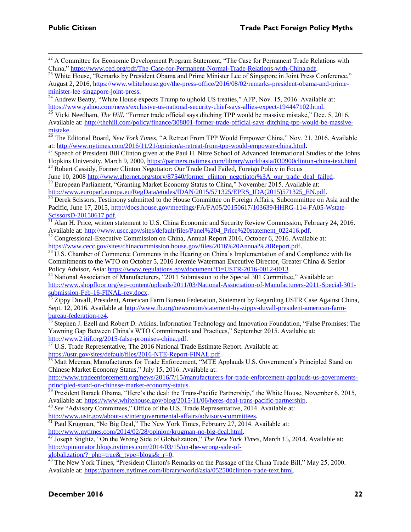$22$  A Committee for Economic Development Program Statement, "The Case for Permanent Trade Relations with China," [https://www.ced.org/pdf/The-Case-for-Permanent-Normal-Trade-Relations-with-China.pdf.](https://www.ced.org/pdf/The-Case-for-Permanent-Normal-Trade-Relations-with-China.pdf)

<sup>23</sup> White House, "Remarks by President Obama and Prime Minister Lee of Singapore in Joint Press Conference," August 2, 2016, [https://www.whitehouse.gov/the-press-office/2016/08/02/remarks-president-obama-and-prime](https://www.whitehouse.gov/the-press-office/2016/08/02/remarks-president-obama-and-prime-minister-lee-singapore-joint-press)[minister-lee-singapore-joint-press.](https://www.whitehouse.gov/the-press-office/2016/08/02/remarks-president-obama-and-prime-minister-lee-singapore-joint-press)

<sup>24</sup> Andrew Beatty, "White House expects Trump to uphold US treaties," AFP, Nov. 15, 2016. Available at: [https://www.yahoo.com/news/exclusive-us-national-security-chief-says-allies-expect-194447102.html.](https://www.yahoo.com/news/exclusive-us-national-security-chief-says-allies-expect-194447102.html)

<sup>25</sup> Vicki Needham, *The Hill*, "Former trade official says ditching TPP would be massive mistake," Dec. 5, 2016, Available at: [http://thehill.com/policy/finance/308801-former-trade-official-says-ditching-tpp-would-be-massive](http://thehill.com/policy/finance/308801-former-trade-official-says-ditching-tpp-would-be-massive-mistake)[mistake.](http://thehill.com/policy/finance/308801-former-trade-official-says-ditching-tpp-would-be-massive-mistake)

<sup>26</sup> The Editorial Board, *New York Times*, "A Retreat From TPP Would Empower China," Nov. 21, 2016. Available at: <http://www.nytimes.com/2016/11/21/opinion/a-retreat-from-tpp-would-empower-china.html>**.**

<sup>27</sup> Speech of President Bill Clinton given at the Paul H. Nitze School of Advanced International Studies of the Johns Hopkins University, March 9, 2000, <https://partners.nytimes.com/library/world/asia/030900clinton-china-text.html> <sup>28</sup> Robert Cassidy, Former Clinton Negotiator: Our Trade Deal Failed, Foreign Policy in Focus

June 10, 2008 [http://www.alternet.org/story/87540/former\\_clinton\\_negotiator%3A\\_our\\_trade\\_deal\\_failed.](http://www.alternet.org/story/87540/former_clinton_negotiator%3A_our_trade_deal_failed) <sup>29</sup> European Parliament, "Granting Market Economy Status to China," November 2015. Available at:

[http://www.europarl.europa.eu/RegData/etudes/IDAN/2015/571325/EPRS\\_IDA\(2015\)571325\\_EN.pdf.](http://www.europarl.europa.eu/RegData/etudes/IDAN/2015/571325/EPRS_IDA(2015)571325_EN.pdf)

 $30$  Derek Scissors, Testimony submitted to the House Committee on Foreign Affairs, Subcommittee on Asia and the Pacific, June 17, 2015[, http://docs.house.gov/meetings/FA/FA05/20150617/103639/HHRG-114-FA05-Wstate-](http://docs.house.gov/meetings/FA/FA05/20150617/103639/HHRG-114-FA05-Wstate-ScissorsD-20150617.pdf)[ScissorsD-20150617.pdf.](http://docs.house.gov/meetings/FA/FA05/20150617/103639/HHRG-114-FA05-Wstate-ScissorsD-20150617.pdf)

<sup>31</sup> Alan H. Price, written statement to U.S. China Economic and Security Review Commission, February 24, 2016. Available at: [http://www.uscc.gov/sites/default/files/Panel%204\\_Price%20statement\\_022416.pdf.](http://www.uscc.gov/sites/default/files/Panel%204_Price%20statement_022416.pdf)

 $32$  Congressional-Executive Commission on China, Annual Report 2016, October 6, 2016. Available at: [https://www.cecc.gov/sites/chinacommission.house.gov/files/2016%20Annual%20Report.pdf.](https://www.cecc.gov/sites/chinacommission.house.gov/files/2016%20Annual%20Report.pdf)

<sup>33</sup> U.S. Chamber of Commerce Comments in the Hearing on China's Implementation of and Compliance with Its Commitments to the WTO on October 5, 2016 Jeremie Waterman Executive Director, Greater China & Senior Policy Advisor, Asia: [https://www.regulations.gov/document?D=USTR-2016-0012-0013.](https://www.regulations.gov/document?D=USTR-2016-0012-0013)

<sup>34</sup> National Association of Manufacturers, "2011 Submission to the Special 301 Committee," Available at: [http://www.shopfloor.org/wp-content/uploads/2011/03/National-Association-of-Manufacturers-2011-Special-301](http://www.shopfloor.org/wp-content/uploads/2011/03/National-Association-of-Manufacturers-2011-Special-301-submission-Feb-16-FINAL-rev.docx) [submission-Feb-16-FINAL-rev.docx.](http://www.shopfloor.org/wp-content/uploads/2011/03/National-Association-of-Manufacturers-2011-Special-301-submission-Feb-16-FINAL-rev.docx)

<sup>35</sup> Zippy Duvall, President, American Farm Bureau Federation, Statement by Regarding USTR Case Against China, Sept. 12, 2016. Available at [http://www.fb.org/newsroom/statement-by-zippy-duvall-president-american-farm](http://www.fb.org/newsroom/statement-by-zippy-duvall-president-american-farm-bureau-federation-re4)[bureau-federation-re4.](http://www.fb.org/newsroom/statement-by-zippy-duvall-president-american-farm-bureau-federation-re4)

<sup>36</sup> Stephen J. Ezell and Robert D. Atkins, Information Technology and Innovation Foundation, "False Promises: The Yawning Gap Between China's WTO Commitments and Practices," September 2015. Available at: [http://www2.itif.org/2015-false-promises-china.pdf.](http://www2.itif.org/2015-false-promises-china.pdf)

U.S. Trade Representative, The 2016 National Trade Estimate Report. Available at:

[https://ustr.gov/sites/default/files/2016-NTE-Report-FINAL.pdf.](https://ustr.gov/sites/default/files/2016-NTE-Report-FINAL.pdf)

<sup>38</sup> Matt Meenan, Manufacturers for Trade Enforcement, "MTE Applauds U.S. Government's Principled Stand on Chinese Market Economy Status," July 15, 2016. Available at:

[http://www.tradeenforcement.org/news/2016/7/15/manufacturers-for-trade-enforcement-applauds-us-governments](http://www.tradeenforcement.org/news/2016/7/15/manufacturers-for-trade-enforcement-applauds-us-governments-principled-stand-on-chinese-market-economy-status)[principled-stand-on-chinese-market-economy-status.](http://www.tradeenforcement.org/news/2016/7/15/manufacturers-for-trade-enforcement-applauds-us-governments-principled-stand-on-chinese-market-economy-status)

 $\frac{39}{39}$  President Barack Obama, "Here's the deal: the Trans-Pacific Partnership," the White House, November 6, 2015, Available at: [https://www.whitehouse.gov/blog/2015/11/06/heres-deal-trans-pacific-partnership.](https://www.whitehouse.gov/blog/2015/11/06/heres-deal-trans-pacific-partnership)

<sup>40</sup> *See* "Advisory Committees," Office of the U.S. Trade Representative, 2014. Available at:

[http://www.ustr.gov/about-us/intergovernmental-affairs/advisory-committees.](http://www.ustr.gov/about-us/intergovernmental-affairs/advisory-committees)

<sup>41</sup> Paul Krugman, "No Big Deal," The New York Times, February 27, 2014. Available at: [http://www.nytimes.com/2014/02/28/opinion/krugman-no-big-deal.html.](http://www.nytimes.com/2014/02/28/opinion/krugman-no-big-deal.html)

<sup>42</sup> Joseph Stiglitz, "On the Wrong Side of Globalization," *The New York Times*, March 15, 2014. Available at: [http://opinionator.blogs.nytimes.com/2014/03/15/on-the-wrong-side-of-](http://opinionator.blogs.nytimes.com/2014/03/15/on-the-wrong-side-of-globalization/?_php=true&_type=blogs&_r=0)

[globalization/?\\_php=true&\\_type=blogs&\\_r=0.](http://opinionator.blogs.nytimes.com/2014/03/15/on-the-wrong-side-of-globalization/?_php=true&_type=blogs&_r=0)

 $\frac{43}{13}$  The New York Times, "President Clinton's Remarks on the Passage of the China Trade Bill," May 25, 2000. Available at: [https://partners.nytimes.com/library/world/asia/052500clinton-trade-text.html.](https://partners.nytimes.com/library/world/asia/052500clinton-trade-text.html)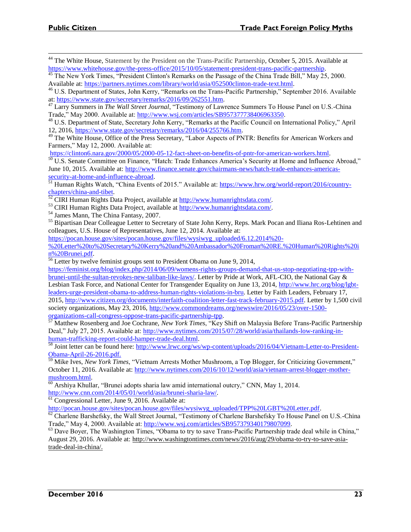<sup>44</sup> The White House, Statement by the President on the Trans-Pacific Partnership, October 5, 2015. Available at [https://www.whitehouse.gov/the-press-office/2015/10/05/statement-president-trans-pacific-partnership.](https://www.whitehouse.gov/the-press-office/2015/10/05/statement-president-trans-pacific-partnership)

<sup>45</sup> The New York Times, "President Clinton's Remarks on the Passage of the China Trade Bill," May 25, 2000. Available at: [https://partners.nytimes.com/library/world/asia/052500clinton-trade-text.html.](https://partners.nytimes.com/library/world/asia/052500clinton-trade-text.html)

<sup>46</sup> U.S. Department of States, John Kerry, "Remarks on the Trans-Pacific Partnership," September 2016. Available at: [https://www.state.gov/secretary/remarks/2016/09/262551.htm.](https://www.state.gov/secretary/remarks/2016/09/262551.htm)

<sup>47</sup> Larry Summers in *The Wall Street Journal*, "Testimony of Lawrence Summers To House Panel on U.S.-China Trade," May 2000. Available at: [http://www.wsj.com/articles/SB957377738406963350.](http://www.wsj.com/articles/SB957377738406963350)

<sup>48</sup> U.S. Department of State, Secretary John Kerry, "Remarks at the Pacific Council on International Policy," April 12, 2016, [https://www.state.gov/secretary/remarks/2016/04/255766.htm.](https://www.state.gov/secretary/remarks/2016/04/255766.htm)

<sup>49</sup> The White House, Office of the Press Secretary, "Labor Aspects of PNTR: Benefits for American Workers and Farmers," May 12, 2000. Available at:

[https://clinton6.nara.gov/2000/05/2000-05-12-fact-sheet-on-benefits-of-pntr-for-american-workers.html.](https://clinton6.nara.gov/2000/05/2000-05-12-fact-sheet-on-benefits-of-pntr-for-american-workers.html)

 $50 \text{ U.S.}$  Senate Committee on Finance, "Hatch: Trade Enhances America's Security at Home and Influence Abroad," June 10, 2015. Available at: [http://www.finance.senate.gov/chairmans-news/hatch-trade-enhances-americas](http://www.finance.senate.gov/chairmans-news/hatch-trade-enhances-americas-security-at-home-and-influence-abroad)[security-at-home-and-influence-abroad.](http://www.finance.senate.gov/chairmans-news/hatch-trade-enhances-americas-security-at-home-and-influence-abroad)

<sup>51</sup> Human Rights Watch, "China Events of 2015." Available at: [https://www.hrw.org/world-report/2016/country](https://www.hrw.org/world-report/2016/country-chapters/china-and-tibet)[chapters/china-and-tibet.](https://www.hrw.org/world-report/2016/country-chapters/china-and-tibet)

<sup>53</sup> CIRI Human Rights Data Project, available at [http://www.humanrightsdata.com/.](http://www.humanrightsdata.com/) 

<sup>54</sup> James Mann, The China Fantasy, 2007.

<sup>55</sup> Bipartisan Dear Colleague Letter to Secretary of State John Kerry, Reps. Mark Pocan and Iliana Ros-Lehtinen and colleagues, U.S. House of Representatives, June 12, 2014. Available at:

[https://pocan.house.gov/sites/pocan.house.gov/files/wysiwyg\\_uploaded/6.12.2014%20-](https://pocan.house.gov/sites/pocan.house.gov/files/wysiwyg_uploaded/6.12.2014%20-%20Letter%20to%20Secretary%20Kerry%20and%20Ambassador%20Froman%20RE.%20Human%20Rights%20in%20Brunei.pdf)

[%20Letter%20to%20Secretary%20Kerry%20and%20Ambassador%20Froman%20RE.%20Human%20Rights%20i](https://pocan.house.gov/sites/pocan.house.gov/files/wysiwyg_uploaded/6.12.2014%20-%20Letter%20to%20Secretary%20Kerry%20and%20Ambassador%20Froman%20RE.%20Human%20Rights%20in%20Brunei.pdf) [n%20Brunei.pdf.](https://pocan.house.gov/sites/pocan.house.gov/files/wysiwyg_uploaded/6.12.2014%20-%20Letter%20to%20Secretary%20Kerry%20and%20Ambassador%20Froman%20RE.%20Human%20Rights%20in%20Brunei.pdf) 

<sup>56</sup> Letter by twelve feminist groups sent to President Obama on June 9, 2014,

[https://feminist.org/blog/index.php/2014/06/09/womens-rights-groups-demand-that-us-stop-negotiating-tpp-with](https://feminist.org/blog/index.php/2014/06/09/womens-rights-groups-demand-that-us-stop-negotiating-tpp-with-brunei-until-the-sultan-revokes-new-taliban-like-laws/)[brunei-until-the-sultan-revokes-new-taliban-like-laws/.](https://feminist.org/blog/index.php/2014/06/09/womens-rights-groups-demand-that-us-stop-negotiating-tpp-with-brunei-until-the-sultan-revokes-new-taliban-like-laws/) Letter by Pride at Work, AFL-CIO, the National Gay & Lesbian Task Force, and National Center for Transgender Equality on June 13, 2014, [http://www.hrc.org/blog/lgbt](http://www.hrc.org/blog/lgbt-leaders-urge-president-obama-to-address-human-rights-violations-in-bru)[leaders-urge-president-obama-to-address-human-rights-violations-in-bru.](http://www.hrc.org/blog/lgbt-leaders-urge-president-obama-to-address-human-rights-violations-in-bru) Letter by Faith Leaders, February 17, 2015, [http://www.citizen.org/documents/interfaith-coalition-letter-fast-track-february-2015.pdf.](http://www.citizen.org/documents/interfaith-coalition-letter-fast-track-february-2015.pdf) Letter by 1,500 civil society organizations, May 23, 2016, [http://www.commondreams.org/newswire/2016/05/23/over-1500](http://www.commondreams.org/newswire/2016/05/23/over-1500-organizations-call-congress-oppose-trans-pacific-partnership-tpp) [organizations-call-congress-oppose-trans-pacific-partnership-tpp.](http://www.commondreams.org/newswire/2016/05/23/over-1500-organizations-call-congress-oppose-trans-pacific-partnership-tpp)

<sup>57</sup> Matthew Rosenberg and Joe Cochrane, *New York Times*, "Key Shift on Malaysia Before Trans-Pacific Partnership Deal," July 27, 2015. Available at: [http://www.nytimes.com/2015/07/28/world/asia/thailands-low-ranking-in](http://www.nytimes.com/2015/07/28/world/asia/thailands-low-ranking-in-human-trafficking-report-could-hamper-trade-deal.html)[human-trafficking-report-could-hamper-trade-deal.html.](http://www.nytimes.com/2015/07/28/world/asia/thailands-low-ranking-in-human-trafficking-report-could-hamper-trade-deal.html)

<sup>58</sup> Joint letter can be found here: [http://www.lrwc.org/ws/wp-content/uploads/2016/04/Vietnam-Letter-to-President-](http://www.lrwc.org/ws/wp-content/uploads/2016/04/Vietnam-Letter-to-President-Obama-April-26-2016.pdf)[Obama-April-26-2016.pdf.](http://www.lrwc.org/ws/wp-content/uploads/2016/04/Vietnam-Letter-to-President-Obama-April-26-2016.pdf)

59 Mike Ives, *New York Times*, "Vietnam Arrests Mother Mushroom, a Top Blogger, for Criticizing Government," October 11, 2016. Available at: [http://www.nytimes.com/2016/10/12/world/asia/vietnam-arrest-blogger-mother](http://www.nytimes.com/2016/10/12/world/asia/vietnam-arrest-blogger-mother-mushroom.html)[mushroom.html.](http://www.nytimes.com/2016/10/12/world/asia/vietnam-arrest-blogger-mother-mushroom.html)

 $\overline{60}$  Arshiya Khullar, "Brunei adopts sharia law amid international outcry," CNN, May 1, 2014. [http://www.cnn.com/2014/05/01/world/asia/brunei-sharia-law/.](http://www.cnn.com/2014/05/01/world/asia/brunei-sharia-law/)

 $\overline{61}$  Congressional Letter, June 9, 2016. Available at:

[http://pocan.house.gov/sites/pocan.house.gov/files/wysiwyg\\_uploaded/TPP%20LGBT%20Letter.pdf.](http://pocan.house.gov/sites/pocan.house.gov/files/wysiwyg_uploaded/TPP%20LGBT%20Letter.pdf)

<sup>62</sup> Charlene Barshefsky, the Wall Street Journal, "Testimony of Charlene Barshefsky To House Panel on U.S.-China Trade," May 4, 2000. Available at: [http://www.wsj.com/articles/SB957379340179807099.](http://www.wsj.com/articles/SB957379340179807099)

<sup>63</sup> Dave Boyer, The Washington Times, "Obama to try to save Trans-Pacific Partnership trade deal while in China," August 29, 2016. Available at: [http://www.washingtontimes.com/news/2016/aug/29/obama-to-try-to-save-asia](http://www.washingtontimes.com/news/2016/aug/29/obama-to-try-to-save-asia-trade-deal-in-china/)[trade-deal-in-china/.](http://www.washingtontimes.com/news/2016/aug/29/obama-to-try-to-save-asia-trade-deal-in-china/)

 $^{52}$  CIRI Human Rights Data Project, available at  $\frac{http://www.humanrightsdata.com/}{http://www.humanrightsdata.com/}.$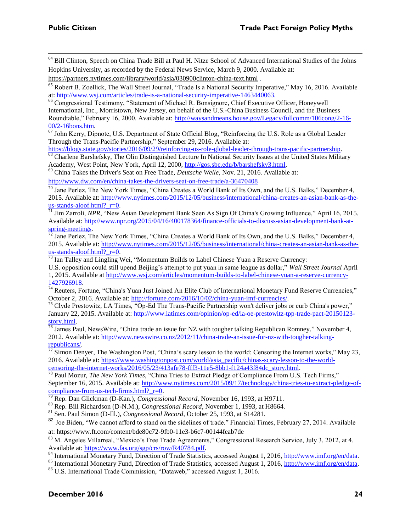<sup>64</sup> Bill Clinton, Speech on China Trade Bill at Paul H. Nitze School of Advanced International Studies of the Johns Hopkins University, as recorded by the Federal News Service, March 9, 2000. Available at:

<https://partners.nytimes.com/library/world/asia/030900clinton-china-text.html> .

<sup>65</sup> Robert B. Zoellick, The Wall Street Journal, "Trade Is a National Security Imperative," May 16, 2016. Available at: [http://www.wsj.com/articles/trade-is-a-national-security-imperative-1463440063.](http://www.wsj.com/articles/trade-is-a-national-security-imperative-1463440063) 

<sup>66</sup> Congressional Testimony, "Statement of Michael R. Bonsignore, Chief Executive Officer, Honeywell International, Inc., Morristown, New Jersey, on behalf of the U.S.-China Business Council, and the Business Roundtable," February 16, 2000. Available at: [http://waysandmeans.house.gov/Legacy/fullcomm/106cong/2-16-](http://waysandmeans.house.gov/Legacy/fullcomm/106cong/2-16-00/2-16bons.htm) [00/2-16bons.htm.](http://waysandmeans.house.gov/Legacy/fullcomm/106cong/2-16-00/2-16bons.htm)

 $\overline{67}$  John Kerry, Dipnote, U.S. Department of State Official Blog, "Reinforcing the U.S. Role as a Global Leader Through the Trans-Pacific Partnership," September 29, 2016. Available at:

[https://blogs.state.gov/stories/2016/09/29/reinforcing-us-role-global-leader-through-trans-pacific-partnership.](https://blogs.state.gov/stories/2016/09/29/reinforcing-us-role-global-leader-through-trans-pacific-partnership) 

<sup>68</sup> Charlene Barshefsky, The Olin Distinguished Lecture In National Security Issues at the United States Military Academy, West Point, New York, April 12, 2000, [http://gos.sbc.edu/b/barshefsky3.html.](http://gos.sbc.edu/b/barshefsky3.html) 

<sup>69</sup> China Takes the Driver's Seat on Free Trade, *Deutsche Welle,* Nov. 21, 2016. Available at: <http://www.dw.com/en/china-takes-the-drivers-seat-on-free-trade/a-36470408>

<sup>70</sup> Jane Perlez, The New York Times, "China Creates a World Bank of Its Own, and the U.S. Balks," December 4, 2015. Available at: [http://www.nytimes.com/2015/12/05/business/international/china-creates-an-asian-bank-as-the](http://www.nytimes.com/2015/12/05/business/international/china-creates-an-asian-bank-as-the-us-stands-aloof.html?_r=0)us-stands-aloof.html? $r=0$ .

<sup>71</sup> Jim Zarroli, *NPR*, "New Asian Development Bank Seen As Sign Of China's Growing Influence," April 16, 2015. Available at: [http://www.npr.org/2015/04/16/400178364/finance-officials-to-discuss-asian-development-bank-at](http://www.npr.org/2015/04/16/400178364/finance-officials-to-discuss-asian-development-bank-at-spring-meetings)[spring-meetings.](http://www.npr.org/2015/04/16/400178364/finance-officials-to-discuss-asian-development-bank-at-spring-meetings) 

 $72$  Jane Perlez, The New York Times, "China Creates a World Bank of Its Own, and the U.S. Balks," December 4, 2015. Available at: [http://www.nytimes.com/2015/12/05/business/international/china-creates-an-asian-bank-as-the](http://www.nytimes.com/2015/12/05/business/international/china-creates-an-asian-bank-as-the-us-stands-aloof.html?_r=0)us-stands-aloof.html? r=0.

<sup>73</sup> Ian Talley and Lingling Wei, "Momentum Builds to Label Chinese Yuan a Reserve Currency:

U.S. opposition could still upend Beijing's attempt to put yuan in same league as dollar," *Wall Street Journal* April 1, 2015. Available at [http://www.wsj.com/articles/momentum-builds-to-label-chinese-yuan-a-reserve-currency-](http://www.wsj.com/articles/momentum-builds-to-label-chinese-yuan-a-reserve-currency-1427926918)[1427926918.](http://www.wsj.com/articles/momentum-builds-to-label-chinese-yuan-a-reserve-currency-1427926918)

<sup>74</sup> Reuters, Fortune, "China's Yuan Just Joined An Elite Club of International Monetary Fund Reserve Currencies," October 2, 2016. Available at: [http://fortune.com/2016/10/02/china-yuan-imf-currencies/.](http://fortune.com/2016/10/02/china-yuan-imf-currencies/)

<sup>75</sup> Clyde Prestowitz, LA Times, "Op-Ed The Trans-Pacific Partnership won't deliver jobs or curb China's power," January 22, 2015. Available at: [http://www.latimes.com/opinion/op-ed/la-oe-prestowitz-tpp-trade-pact-20150123](http://www.latimes.com/opinion/op-ed/la-oe-prestowitz-tpp-trade-pact-20150123-story.html) [story.html.](http://www.latimes.com/opinion/op-ed/la-oe-prestowitz-tpp-trade-pact-20150123-story.html)

 $\frac{76}{10}$  James Paul, NewsWire, "China trade an issue for NZ with tougher talking Republican Romney," November 4, 2012. Available at: [http://www.newswire.co.nz/2012/11/china-trade-an-issue-for-nz-with-tougher-talking](http://www.newswire.co.nz/2012/11/china-trade-an-issue-for-nz-with-tougher-talking-republicans/)[republicans/.](http://www.newswire.co.nz/2012/11/china-trade-an-issue-for-nz-with-tougher-talking-republicans/)

 $^{77}$  Simon Denyer, The Washington Post, "China's scary lesson to the world: Censoring the Internet works," May 23, 2016. Available at: [https://www.washingtonpost.com/world/asia\\_pacific/chinas-scary-lesson-to-the-world](https://www.washingtonpost.com/world/asia_pacific/chinas-scary-lesson-to-the-world-censoring-the-internet-works/2016/05/23/413afe78-fff3-11e5-8bb1-f124a43f84dc_story.html)[censoring-the-internet-works/2016/05/23/413afe78-fff3-11e5-8bb1-f124a43f84dc\\_story.html.](https://www.washingtonpost.com/world/asia_pacific/chinas-scary-lesson-to-the-world-censoring-the-internet-works/2016/05/23/413afe78-fff3-11e5-8bb1-f124a43f84dc_story.html)

<sup>78</sup> Paul Mozur, *The New York Times*, "China Tries to Extract Pledge of Compliance From U.S. Tech Firms," September 16, 2015. Available at: [http://www.nytimes.com/2015/09/17/technology/china-tries-to-extract-pledge-of](http://www.nytimes.com/2015/09/17/technology/china-tries-to-extract-pledge-of-compliance-from-us-tech-firms.html?_r=0)compliance-from-us-tech-firms.html?  $r=0$ .<br>
<sup>79</sup> Bon Day Cit.

<sup>79</sup> Rep. Dan Glickman (D-Kan.), *Congressional Record*, November 16, 1993, at H9711.

<sup>80</sup> Rep. Bill Richardson (D-N.M.), *Congressional Record*, November 1, 1993, at H8664.

<sup>81</sup> Sen. Paul Simon (D-Ill.), *Congressional Record*, October 25, 1993, at S14281.

<sup>82</sup> Joe Biden. "We cannot afford to stand on the sidelines of trade." Financial Times, February 27, 2014. Available at: https://www.ft.com/content/bde80c72-9fb0-11e3-b6c7-00144feab7de

<sup>83</sup> M. Angeles Villarreal, "Mexico's Free Trade Agreements," Congressional Research Service, July 3, 2012, at 4. Available at: [https://www.fas.org/sgp/crs/row/R40784.pdf.](https://www.fas.org/sgp/crs/row/R40784.pdf)

<sup>84</sup> International Monetary Fund, Direction of Trade Statistics, accessed August 1, 2016, [http://www.imf.org/en/data.](http://www.imf.org/en/data)

<sup>85</sup> International Monetary Fund, Direction of Trade Statistics, accessed August 1, 2016, [http://www.imf.org/en/data.](http://www.imf.org/en/data)

<sup>86</sup> U.S. International Trade Commission, "Dataweb," accessed August 1, 2016.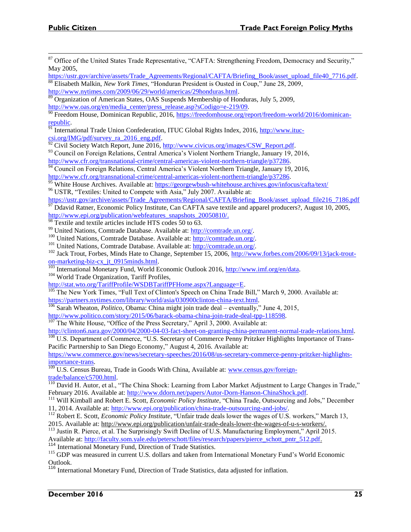- <sup>87</sup> Office of the United States Trade Representative, "CAFTA: Strengthening Freedom, Democracy and Security," May 2005,
- [https://ustr.gov/archive/assets/Trade\\_Agreements/Regional/CAFTA/Briefing\\_Book/asset\\_upload\\_file40\\_7716.pdf.](https://ustr.gov/archive/assets/Trade_Agreements/Regional/CAFTA/Briefing_Book/asset_upload_file40_7716.pdf) <sup>88</sup> Elisabeth Malkin, *New York Times*, "Honduran President is Ousted in Coup," June 28, 2009, [http://www.nytimes.com/2009/06/29/world/americas/29honduras.html.](http://www.nytimes.com/2009/06/29/world/americas/29honduras.html)
- <sup>89</sup> Organization of American States, OAS Suspends Membership of Honduras, July 5, 2009, [http://www.oas.org/en/media\\_center/press\\_release.asp?sCodigo=e-219/09.](http://www.oas.org/en/media_center/press_release.asp?sCodigo=e-219/09)
- <sup>90</sup> Freedom House, Dominican Republic, 2016[, https://freedomhouse.org/report/freedom-world/2016/dominican](https://freedomhouse.org/report/freedom-world/2016/dominican-republic)[republic.](https://freedomhouse.org/report/freedom-world/2016/dominican-republic)
- 91 International Trade Union Confederation, ITUC Global Rights Index, 2016, [http://www.ituc](http://www.ituc-csi.org/IMG/pdf/survey_ra_2016_eng.pdf) $csi.org/IMG/pdf/survey$  ra  $2016$  eng.pdf.

<sup>92</sup> Civil Society Watch Report, June 2016, http://www.civicus.org/images/CSW\_Report.pdf.

- <sup>93</sup> Council on Foreign Relations, Central America's Violent Northern Triangle, January 19, 2016, [http://www.cfr.org/transnational-crime/central-americas-violent-northern-triangle/p37286.](http://www.cfr.org/transnational-crime/central-americas-violent-northern-triangle/p37286)
- <sup>94</sup> Council on Foreign Relations, Central America's Violent Northern Triangle, January 19, 2016, [http://www.cfr.org/transnational-crime/central-americas-violent-northern-triangle/p37286.](http://www.cfr.org/transnational-crime/central-americas-violent-northern-triangle/p37286)

<sup>95</sup> White House Archives. Available at:<https://georgewbush-whitehouse.archives.gov/infocus/cafta/text/>

<sup>96</sup> USTR, "Textiles: United to Compete with Asia," July 2007. Available at:

[https://ustr.gov/archive/assets/Trade\\_Agreements/Regional/CAFTA/Briefing\\_Book/asset\\_upload\\_file216\\_7186.pdf](https://ustr.gov/archive/assets/Trade_Agreements/Regional/CAFTA/Briefing_Book/asset_upload_file216_7186.pdf)  $\frac{97}{2}$  Ddavid Ratner, Economic Policy Institute, Can CAFTA save textile and apparel producers?, August 10, 2005,

[http://www.epi.org/publication/webfeatures\\_snapshots\\_20050810/.](http://www.epi.org/publication/webfeatures_snapshots_20050810/)

<sup>98</sup> Textile and textile articles include HTS codes 50 to 63.

<sup>99</sup> United Nations, Comtrade Database. Available at: [http://comtrade.un.org/.](http://comtrade.un.org/)

100 United Nations, Comtrade Database. Available at: [http://comtrade.un.org/.](http://comtrade.un.org/)

<sup>101</sup> United Nations, Comtrade Database. Available at: [http://comtrade.un.org/.](http://comtrade.un.org/)

<sup>102</sup> Jack Trout, Forbes, Minds Hate to Change, September 15, 2006, [http://www.forbes.com/2006/09/13/jack-trout](http://www.forbes.com/2006/09/13/jack-trout-on-marketing-biz-cx_jt_0915minds.html)[on-marketing-biz-cx\\_jt\\_0915minds.html.](http://www.forbes.com/2006/09/13/jack-trout-on-marketing-biz-cx_jt_0915minds.html)

<sup>103</sup> International Monetary Fund, World Economic Outlook 2016, [http://www.imf.org/en/data.](http://www.imf.org/en/data) <sup>104</sup> World Trade Organization, Tariff Profiles,

[http://stat.wto.org/TariffProfile/WSDBTariffPFHome.aspx?Language=E.](http://stat.wto.org/TariffProfile/WSDBTariffPFHome.aspx?Language=E)

<sup>105</sup> The New York Times, "Full Text of Clinton's Speech on China Trade Bill," March 9, 2000. Available at: [https://partners.nytimes.com/library/world/asia/030900clinton-china-text.html.](https://partners.nytimes.com/library/world/asia/030900clinton-china-text.html) 

<sup>106</sup> Sarah Wheaton, *Politico*, Obama: China might join trade deal – eventually," June 4, 2015,

[http://www.politico.com/story/2015/06/barack-obama-china-join-trade-deal-tpp-118598.](http://www.politico.com/story/2015/06/barack-obama-china-join-trade-deal-tpp-118598)

 $107$  The White House, "Office of the Press Secretary," April 3, 2000. Available at:

[http://clinton6.nara.gov/2000/04/2000-04-03-fact-sheet-on-granting-china-permanent-normal-trade-relations.html.](http://clinton6.nara.gov/2000/04/2000-04-03-fact-sheet-on-granting-china-permanent-normal-trade-relations.html) <sup>108</sup> U.S. Department of Commerce, "U.S. Secretary of Commerce Penny Pritzker Highlights Importance of Trans-Pacific Partnership to San Diego Economy," August 4, 2016. Available at:

[https://www.commerce.gov/news/secretary-speeches/2016/08/us-secretary-commerce-penny-pritzker-highlights](https://www.commerce.gov/news/secretary-speeches/2016/08/us-secretary-commerce-penny-pritzker-highlights-importance-trans)[importance-trans.](https://www.commerce.gov/news/secretary-speeches/2016/08/us-secretary-commerce-penny-pritzker-highlights-importance-trans)

<sup>109</sup> U.S. Census Bureau, Trade in Goods With China, Available at: [www.census.gov/foreign](http://www.census.gov/foreign-trade/balance/c5700.html)[trade/balance/c5700.html.](http://www.census.gov/foreign-trade/balance/c5700.html) 

 $110$  David H. Autor, et al., "The China Shock: Learning from Labor Market Adjustment to Large Changes in Trade," February 2016. Available at: [http://www.ddorn.net/papers/Autor-Dorn-Hanson-ChinaShock.pdf.](http://www.ddorn.net/papers/Autor-Dorn-Hanson-ChinaShock.pdf)

<sup>111</sup> Will Kimball and Robert E. Scott, *Economic Policy Institute*, "China Trade, Outsourcing and Jobs," December 11, 2014. Available at: [http://www.epi.org/publication/china-trade-outsourcing-and-jobs/.](http://www.epi.org/publication/china-trade-outsourcing-and-jobs/)

<sup>112</sup> Robert E. Scott, *Economic Policy Institute*, "Unfair trade deals lower the wages of U.S. workers," March 13, 2015. Available at: [http://www.epi.org/publication/unfair-trade-deals-lower-the-wages-of-u-s-workers/.](http://www.epi.org/publication/unfair-trade-deals-lower-the-wages-of-u-s-workers/)

<sup>113</sup> Justin R. Pierce, et al. The Surprisingly Swift Decline of U.S. Manufacturing Employment," April 2015. Available at: http://faculty.som.yale.edu/peterschott/files/research/papers/pierce\_schott\_pntr\_512.pdf.

<sup>114</sup> International Monetary Fund, Direction of Trade Statistics.

<sup>115</sup> GDP was measured in current U.S. dollars and taken from International Monetary Fund's World Economic Outlook.

<sup>116</sup> International Monetary Fund, Direction of Trade Statistics, data adjusted for inflation.